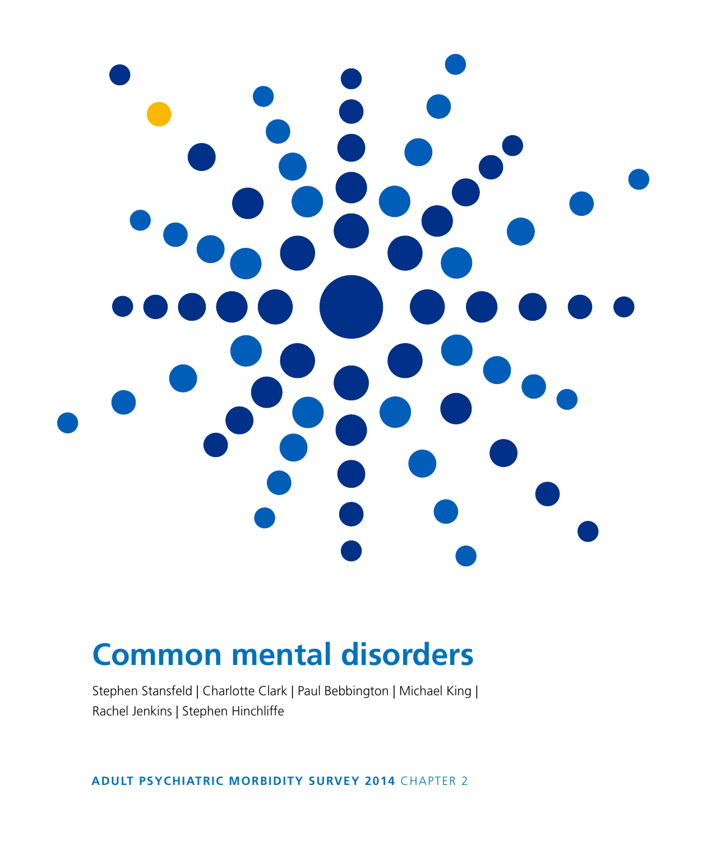

# **Common mental disorders**

Stephen Stansfeld | Charlotte Clark | Paul Bebbington | Michael King | Rachel Jenkins | Stephen Hinchliffe

**ADULT PSYCHIATRIC MORBIDITY SURVEY 2014** CHAPTER 2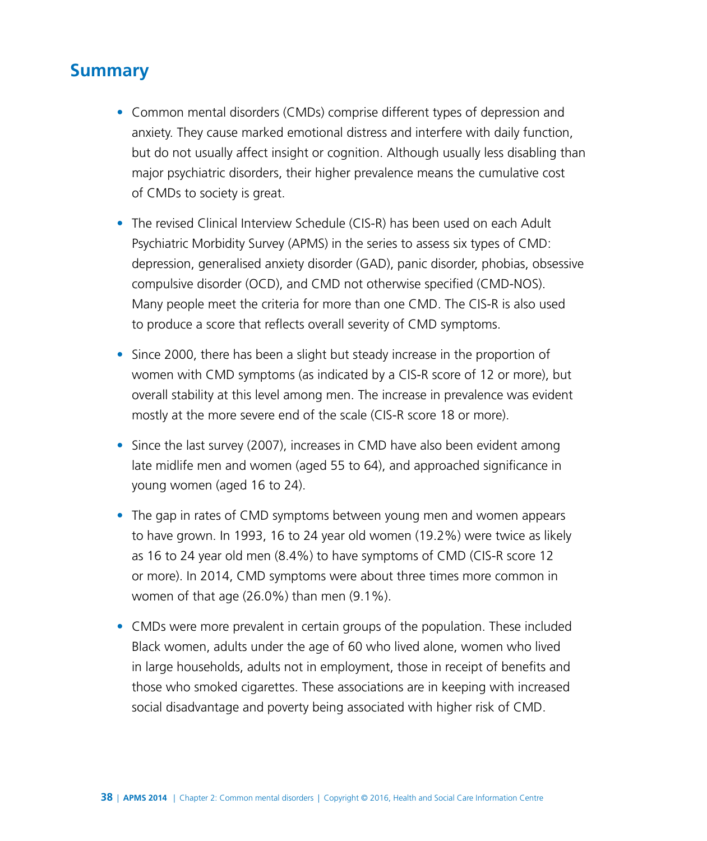# **Summary**

- Common mental disorders (CMDs) comprise different types of depression and anxiety. They cause marked emotional distress and interfere with daily function, but do not usually affect insight or cognition. Although usually less disabling than major psychiatric disorders, their higher prevalence means the cumulative cost of CMDs to society is great.
- The revised Clinical Interview Schedule (CIS-R) has been used on each Adult Psychiatric Morbidity Survey (APMS) in the series to assess six types of CMD: depression, generalised anxiety disorder (GAD), panic disorder, phobias, obsessive compulsive disorder (OCD), and CMD not otherwise specified (CMD-NOS). Many people meet the criteria for more than one CMD. The CIS-R is also used to produce a score that reflects overall severity of CMD symptoms.
- Since 2000, there has been a slight but steady increase in the proportion of women with CMD symptoms (as indicated by a CIS-R score of 12 or more), but overall stability at this level among men. The increase in prevalence was evident mostly at the more severe end of the scale (CIS-R score 18 or more).
- Since the last survey (2007), increases in CMD have also been evident among late midlife men and women (aged 55 to 64), and approached significance in young women (aged 16 to 24).
- The gap in rates of CMD symptoms between young men and women appears to have grown. In 1993, 16 to 24 year old women (19.2%) were twice as likely as 16 to 24 year old men (8.4%) to have symptoms of CMD (CIS-R score 12 or more). In 2014, CMD symptoms were about three times more common in women of that age (26.0%) than men (9.1%).
- CMDs were more prevalent in certain groups of the population. These included Black women, adults under the age of 60 who lived alone, women who lived in large households, adults not in employment, those in receipt of benefits and those who smoked cigarettes. These associations are in keeping with increased social disadvantage and poverty being associated with higher risk of CMD.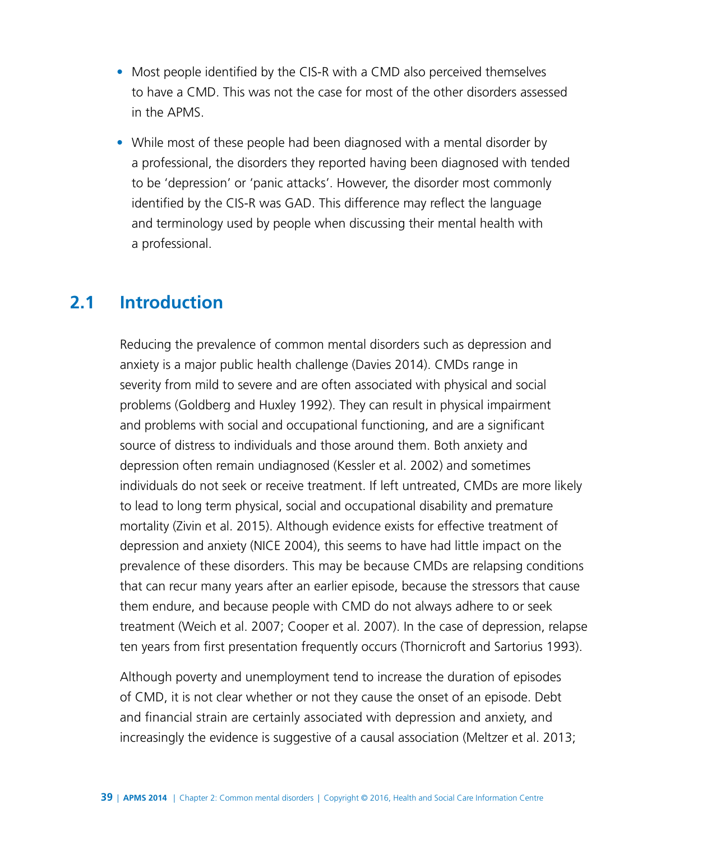- Most people identified by the CIS-R with a CMD also perceived themselves to have a CMD. This was not the case for most of the other disorders assessed in the APMS.
- While most of these people had been diagnosed with a mental disorder by a professional, the disorders they reported having been diagnosed with tended to be 'depression' or 'panic attacks'. However, the disorder most commonly identified by the CIS-R was GAD. This difference may reflect the language and terminology used by people when discussing their mental health with a professional.

## **2.1 Introduction**

Reducing the prevalence of common mental disorders such as depression and anxiety is a major public health challenge (Davies 2014). CMDs range in severity from mild to severe and are often associated with physical and social problems (Goldberg and Huxley 1992). They can result in physical impairment and problems with social and occupational functioning, and are a significant source of distress to individuals and those around them. Both anxiety and depression often remain undiagnosed (Kessler et al. 2002) and sometimes individuals do not seek or receive treatment. If left untreated, CMDs are more likely to lead to long term physical, social and occupational disability and premature mortality (Zivin et al. 2015). Although evidence exists for effective treatment of depression and anxiety (NICE 2004), this seems to have had little impact on the prevalence of these disorders. This may be because CMDs are relapsing conditions that can recur many years after an earlier episode, because the stressors that cause them endure, and because people with CMD do not always adhere to or seek treatment (Weich et al. 2007; Cooper et al. 2007). In the case of depression, relapse ten years from first presentation frequently occurs (Thornicroft and Sartorius 1993).

Although poverty and unemployment tend to increase the duration of episodes of CMD, it is not clear whether or not they cause the onset of an episode. Debt and financial strain are certainly associated with depression and anxiety, and increasingly the evidence is suggestive of a causal association (Meltzer et al. 2013;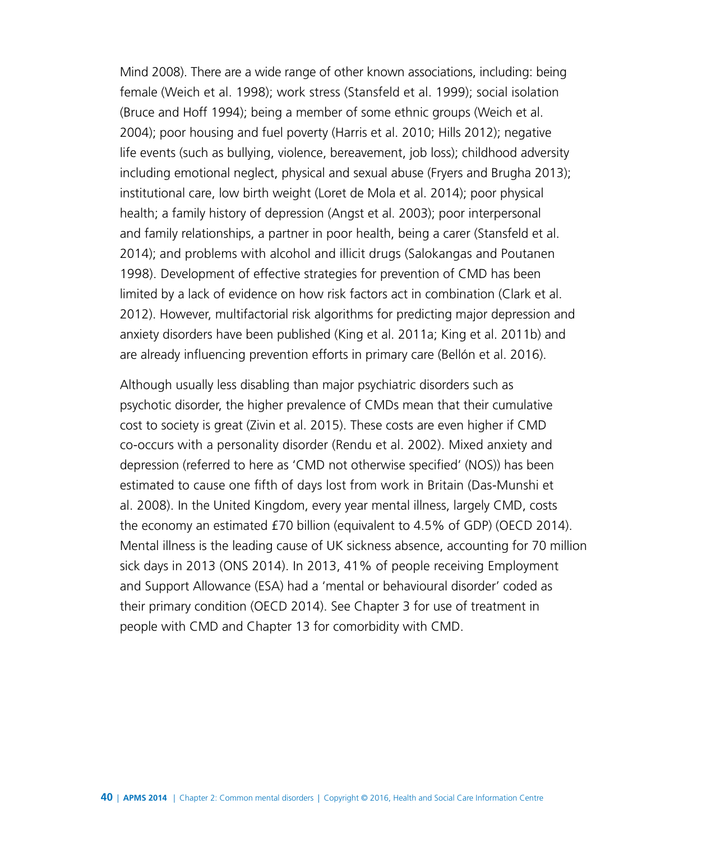Mind 2008). There are a wide range of other known associations, including: being female (Weich et al. 1998); work stress (Stansfeld et al. 1999); social isolation (Bruce and Hoff 1994); being a member of some ethnic groups (Weich et al. 2004); poor housing and fuel poverty (Harris et al. 2010; Hills 2012); negative life events (such as bullying, violence, bereavement, job loss); childhood adversity including emotional neglect, physical and sexual abuse (Fryers and Brugha 2013); institutional care, low birth weight (Loret de Mola et al. 2014); poor physical health; a family history of depression (Angst et al. 2003); poor interpersonal and family relationships, a partner in poor health, being a carer (Stansfeld et al. 2014); and problems with alcohol and illicit drugs (Salokangas and Poutanen 1998). Development of effective strategies for prevention of CMD has been limited by a lack of evidence on how risk factors act in combination (Clark et al. 2012). However, multifactorial risk algorithms for predicting major depression and anxiety disorders have been published (King et al. 2011a; King et al. 2011b) and are already influencing prevention efforts in primary care (Bellón et al. 2016).

Although usually less disabling than major psychiatric disorders such as psychotic disorder, the higher prevalence of CMDs mean that their cumulative cost to society is great (Zivin et al. 2015). These costs are even higher if CMD co-occurs with a personality disorder (Rendu et al. 2002). Mixed anxiety and depression (referred to here as 'CMD not otherwise specified' (NOS)) has been estimated to cause one fifth of days lost from work in Britain (Das-Munshi et al. 2008). In the United Kingdom, every year mental illness, largely CMD, costs the economy an estimated £70 billion (equivalent to 4.5% of GDP) (OECD 2014). Mental illness is the leading cause of UK sickness absence, accounting for 70 million sick days in 2013 (ONS 2014). In 2013, 41% of people receiving Employment and Support Allowance (ESA) had a 'mental or behavioural disorder' coded as their primary condition (OECD 2014). See Chapter 3 for use of treatment in people with CMD and Chapter 13 for comorbidity with CMD.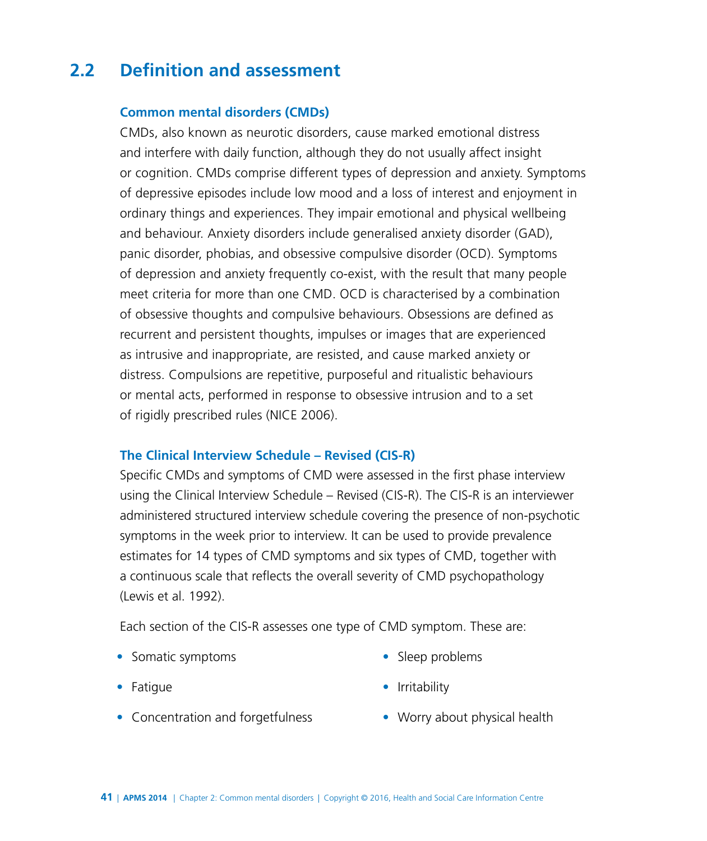# **2.2 Definition and assessment**

#### **Common mental disorders (CMDs)**

CMDs, also known as neurotic disorders, cause marked emotional distress and interfere with daily function, although they do not usually affect insight or cognition. CMDs comprise different types of depression and anxiety. Symptoms of depressive episodes include low mood and a loss of interest and enjoyment in ordinary things and experiences. They impair emotional and physical wellbeing and behaviour. Anxiety disorders include generalised anxiety disorder (GAD), panic disorder, phobias, and obsessive compulsive disorder (OCD). Symptoms of depression and anxiety frequently co-exist, with the result that many people meet criteria for more than one CMD. OCD is characterised by a combination of obsessive thoughts and compulsive behaviours. Obsessions are defined as recurrent and persistent thoughts, impulses or images that are experienced as intrusive and inappropriate, are resisted, and cause marked anxiety or distress. Compulsions are repetitive, purposeful and ritualistic behaviours or mental acts, performed in response to obsessive intrusion and to a set of rigidly prescribed rules (NICE 2006).

#### **The Clinical Interview Schedule – Revised (CIS-R)**

Specific CMDs and symptoms of CMD were assessed in the first phase interview using the Clinical Interview Schedule – Revised (CIS-R). The CIS-R is an interviewer administered structured interview schedule covering the presence of non-psychotic symptoms in the week prior to interview. It can be used to provide prevalence estimates for 14 types of CMD symptoms and six types of CMD, together with a continuous scale that reflects the overall severity of CMD psychopathology (Lewis et al. 1992).

Each section of the CIS-R assesses one type of CMD symptom. These are:

• Somatic symptoms

• Sleep problems

• Irritability

- Fatigue
- Concentration and forgetfulness
- Worry about physical health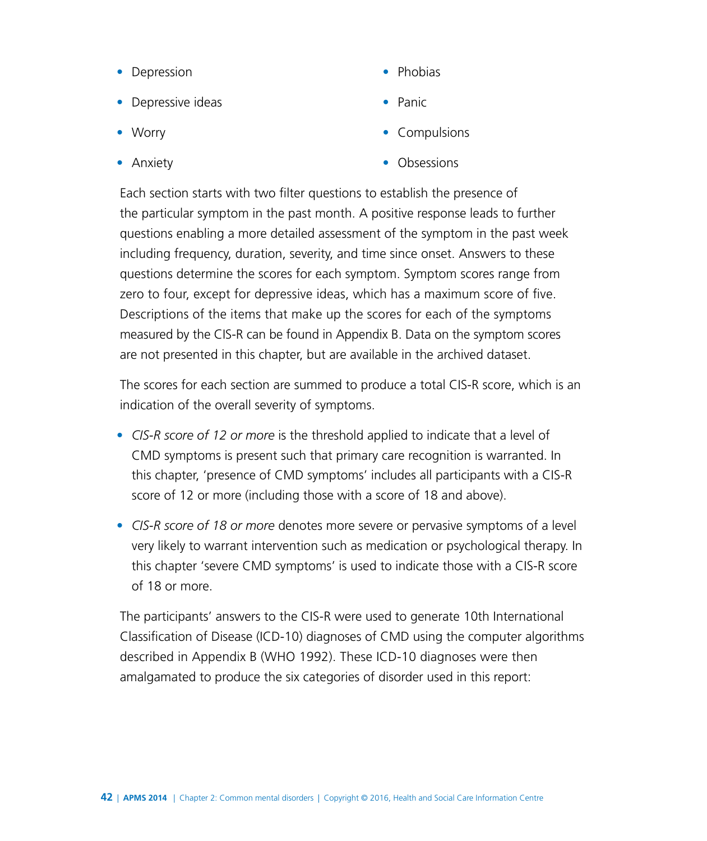- Depression
- Depressive ideas
- Worry
- Anxiety
- Phobias
- Panic
- Compulsions
- Obsessions

Each section starts with two filter questions to establish the presence of the particular symptom in the past month. A positive response leads to further questions enabling a more detailed assessment of the symptom in the past week including frequency, duration, severity, and time since onset. Answers to these questions determine the scores for each symptom. Symptom scores range from zero to four, except for depressive ideas, which has a maximum score of five. Descriptions of the items that make up the scores for each of the symptoms measured by the CIS-R can be found in Appendix B. Data on the symptom scores are not presented in this chapter, but are available in the archived dataset.

The scores for each section are summed to produce a total CIS-R score, which is an indication of the overall severity of symptoms.

- *CIS-R score of 12 or more* is the threshold applied to indicate that a level of CMD symptoms is present such that primary care recognition is warranted. In this chapter, 'presence of CMD symptoms' includes all participants with a CIS-R score of 12 or more (including those with a score of 18 and above).
- *CIS-R score of 18 or more* denotes more severe or pervasive symptoms of a level very likely to warrant intervention such as medication or psychological therapy. In this chapter 'severe CMD symptoms' is used to indicate those with a CIS-R score of 18 or more.

The participants' answers to the CIS-R were used to generate 10th International Classification of Disease (ICD-10) diagnoses of CMD using the computer algorithms described in Appendix B (WHO 1992). These ICD-10 diagnoses were then amalgamated to produce the six categories of disorder used in this report: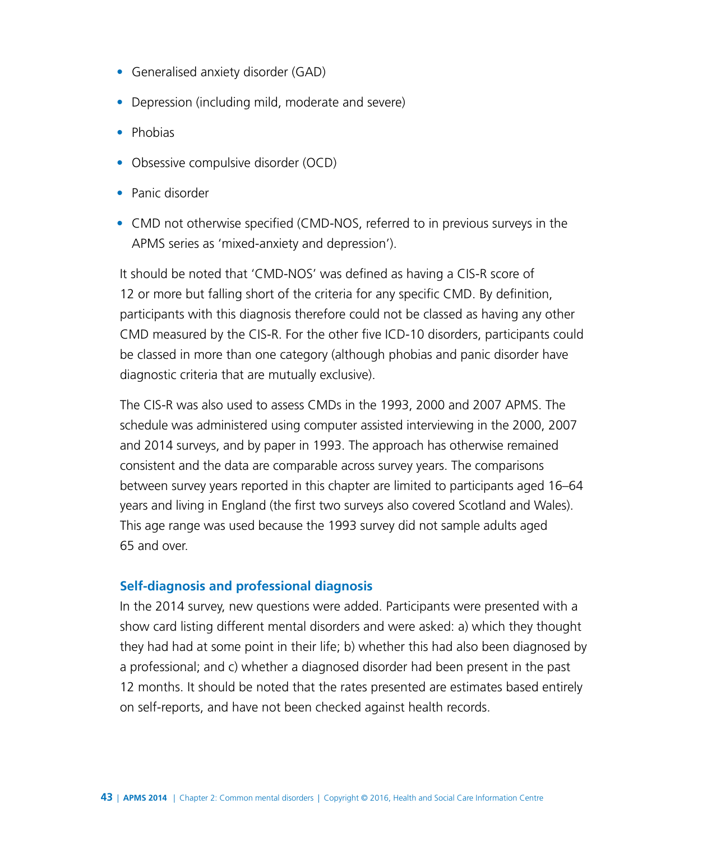- Generalised anxiety disorder (GAD)
- Depression (including mild, moderate and severe)
- Phobias
- Obsessive compulsive disorder (OCD)
- Panic disorder
- CMD not otherwise specified (CMD-NOS, referred to in previous surveys in the APMS series as 'mixed-anxiety and depression').

It should be noted that 'CMD-NOS' was defined as having a CIS-R score of 12 or more but falling short of the criteria for any specific CMD. By definition, participants with this diagnosis therefore could not be classed as having any other CMD measured by the CIS-R. For the other five ICD-10 disorders, participants could be classed in more than one category (although phobias and panic disorder have diagnostic criteria that are mutually exclusive).

The CIS-R was also used to assess CMDs in the 1993, 2000 and 2007 APMS. The schedule was administered using computer assisted interviewing in the 2000, 2007 and 2014 surveys, and by paper in 1993. The approach has otherwise remained consistent and the data are comparable across survey years. The comparisons between survey years reported in this chapter are limited to participants aged 16–64 years and living in England (the first two surveys also covered Scotland and Wales). This age range was used because the 1993 survey did not sample adults aged 65 and over.

#### **Self-diagnosis and professional diagnosis**

In the 2014 survey, new questions were added. Participants were presented with a show card listing different mental disorders and were asked: a) which they thought they had had at some point in their life; b) whether this had also been diagnosed by a professional; and c) whether a diagnosed disorder had been present in the past 12 months. It should be noted that the rates presented are estimates based entirely on self-reports, and have not been checked against health records.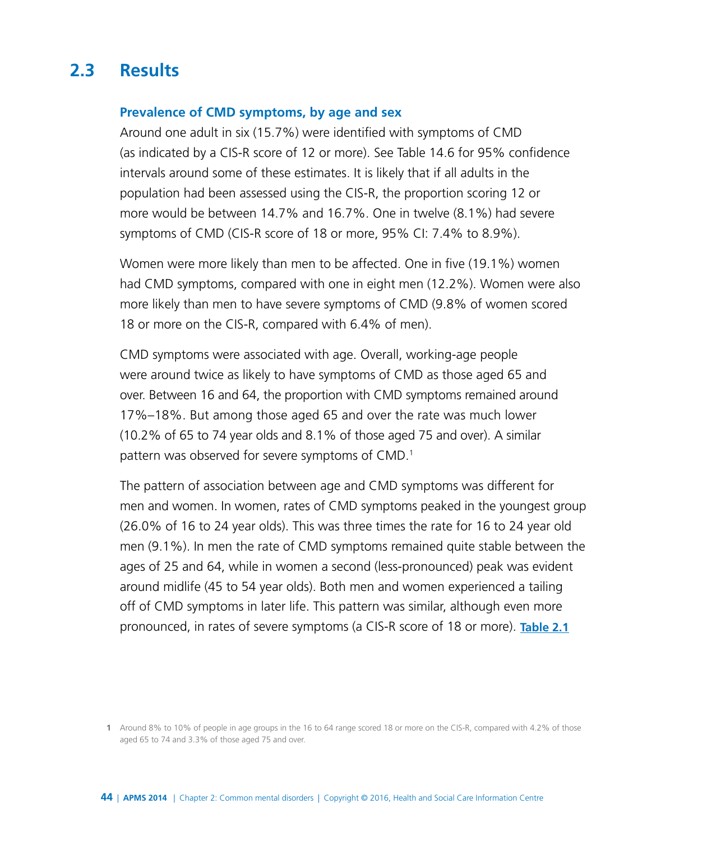# **2.3 Results**

#### **Prevalence of CMD symptoms, by age and sex**

Around one adult in six (15.7%) were identified with symptoms of CMD (as indicated by a CIS-R score of 12 or more). See Table 14.6 for 95% confidence intervals around some of these estimates. It is likely that if all adults in the population had been assessed using the CIS-R, the proportion scoring 12 or more would be between 14.7% and 16.7%. One in twelve (8.1%) had severe symptoms of CMD (CIS-R score of 18 or more, 95% CI: 7.4% to 8.9%).

Women were more likely than men to be affected. One in five (19.1%) women had CMD symptoms, compared with one in eight men (12.2%). Women were also more likely than men to have severe symptoms of CMD (9.8% of women scored 18 or more on the CIS-R, compared with 6.4% of men).

CMD symptoms were associated with age. Overall, working-age people were around twice as likely to have symptoms of CMD as those aged 65 and over. Between 16 and 64, the proportion with CMD symptoms remained around 17%–18%. But among those aged 65 and over the rate was much lower (10.2% of 65 to 74 year olds and 8.1% of those aged 75 and over). A similar pattern was observed for severe symptoms of CMD.1

The pattern of association between age and CMD symptoms was different for men and women. In women, rates of CMD symptoms peaked in the youngest group (26.0% of 16 to 24 year olds). This was three times the rate for 16 to 24 year old men (9.1%). In men the rate of CMD symptoms remained quite stable between the ages of 25 and 64, while in women a second (less-pronounced) peak was evident around midlife (45 to 54 year olds). Both men and women experienced a tailing off of CMD symptoms in later life. This pattern was similar, although even more pronounced, in rates of severe symptoms (a CIS-R score of 18 or more). **[Table 2.1](http://www.digital.nhs.uk/catalogue/PUB21748/apms-2014-ch-02-tabs.xls)**

**<sup>1</sup>** Around 8% to 10% of people in age groups in the 16 to 64 range scored 18 or more on the CIS-R, compared with 4.2% of those aged 65 to 74 and 3.3% of those aged 75 and over.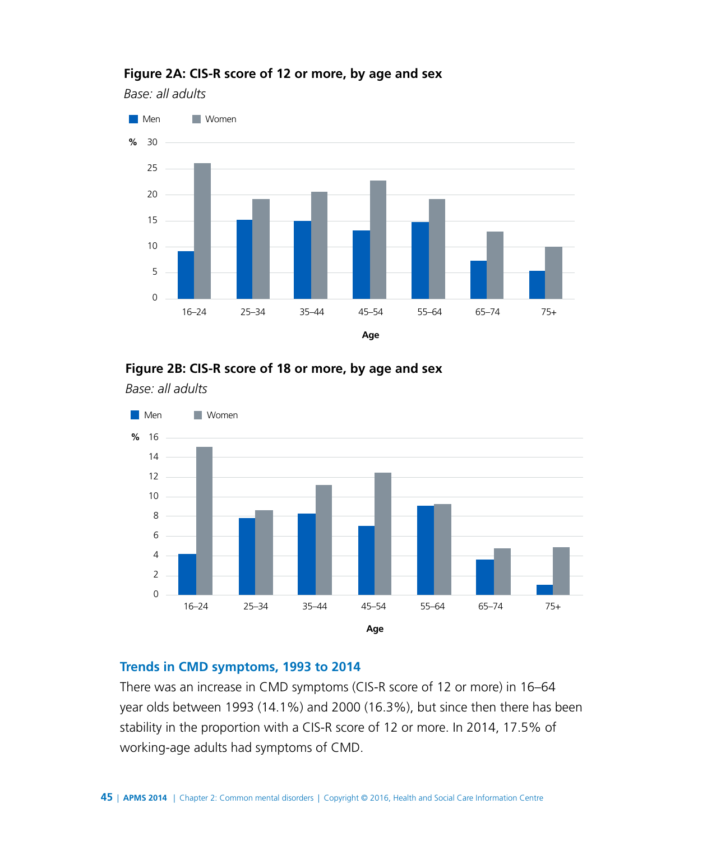

#### **Figure 2A: CIS-R score of 12 or more, by age and sex**

*Base: all adults*



*Base: all adults*



#### **Trends in CMD symptoms, 1993 to 2014**

There was an increase in CMD symptoms (CIS-R score of 12 or more) in 16–64 year olds between 1993 (14.1%) and 2000 (16.3%), but since then there has been stability in the proportion with a CIS-R score of 12 or more. In 2014, 17.5% of working-age adults had symptoms of CMD.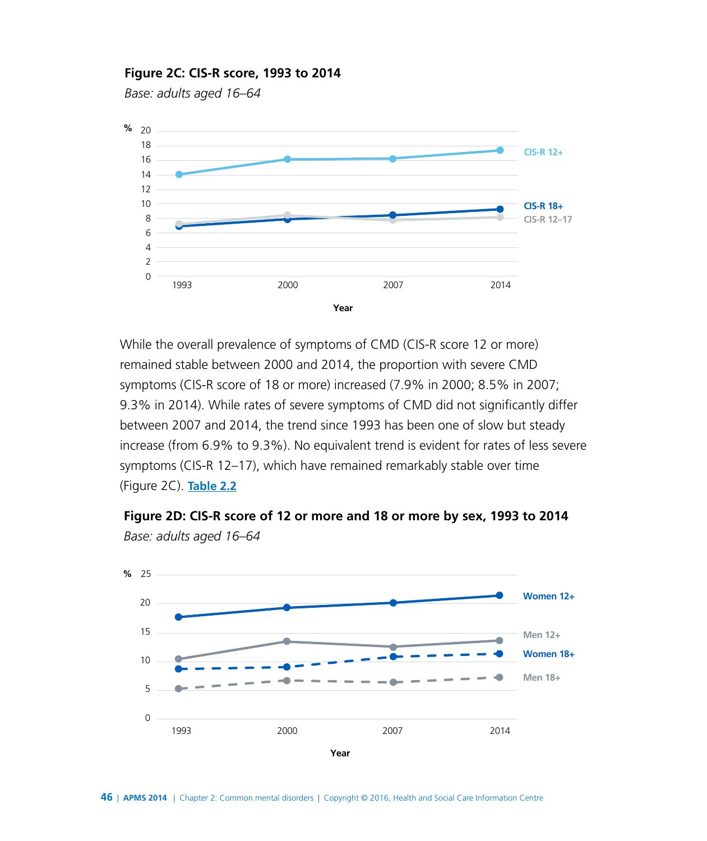#### **Figure 2C: CIS-R score, 1993 to 2014**

*Base: adults aged 16–64*



While the overall prevalence of symptoms of CMD (CIS-R score 12 or more) remained stable between 2000 and 2014, the proportion with severe CMD symptoms (CIS-R score of 18 or more) increased (7.9% in 2000; 8.5% in 2007; 9.3% in 2014). While rates of severe symptoms of CMD did not significantly differ between 2007 and 2014, the trend since 1993 has been one of slow but steady increase (from 6.9% to 9.3%). No equivalent trend is evident for rates of less severe symptoms (CIS-R 12–17), which have remained remarkably stable over time (Figure 2C). **[Table 2.2](http://www.digital.nhs.uk/catalogue/PUB21748/apms-2014-ch-02-tabs.xls)**



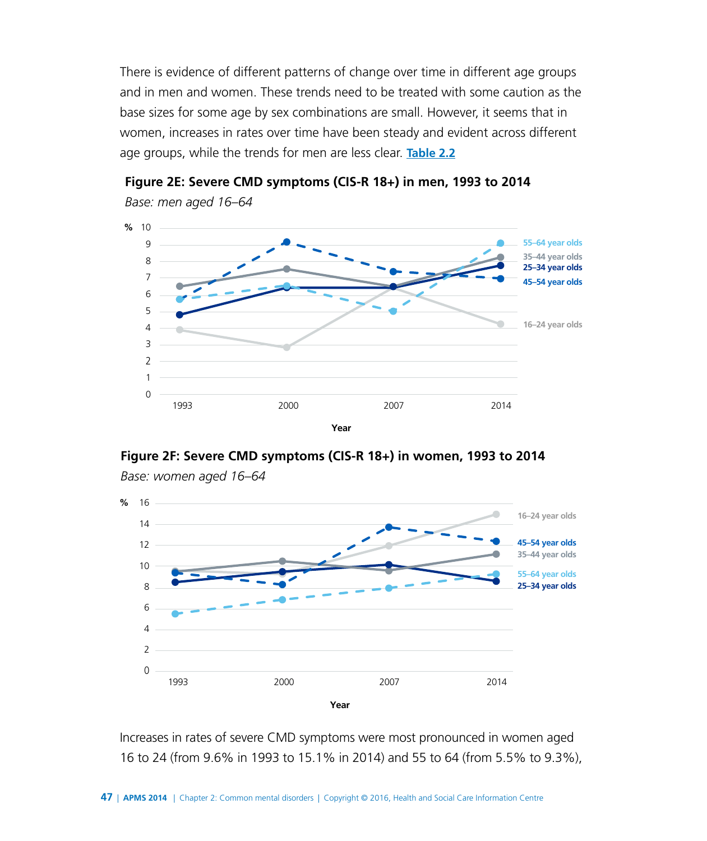There is evidence of different patterns of change over time in different age groups and in men and women. These trends need to be treated with some caution as the base sizes for some age by sex combinations are small. However, it seems that in women, increases in rates over time have been steady and evident across different age groups, while the trends for men are less clear. **[Table 2.2](http://www.digital.nhs.uk/catalogue/PUB21748/apms-2014-ch-02-tabs.xls)**



**Figure 2E: Severe CMD symptoms (CIS-R 18+) in men, 1993 to 2014**

**Figure 2F: Severe CMD symptoms (CIS-R 18+) in women, 1993 to 2014**



*Base: women aged 16–64*

Increases in rates of severe CMD symptoms were most pronounced in women aged 16 to 24 (from 9.6% in 1993 to 15.1% in 2014) and 55 to 64 (from 5.5% to 9.3%),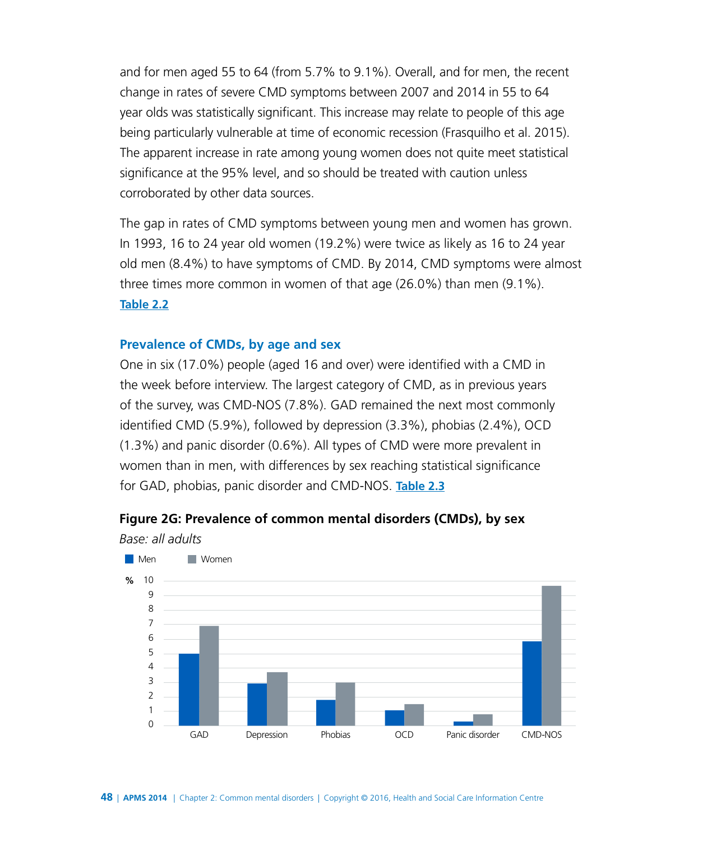and for men aged 55 to 64 (from 5.7% to 9.1%). Overall, and for men, the recent change in rates of severe CMD symptoms between 2007 and 2014 in 55 to 64 year olds was statistically significant. This increase may relate to people of this age being particularly vulnerable at time of economic recession (Frasquilho et al. 2015). The apparent increase in rate among young women does not quite meet statistical significance at the 95% level, and so should be treated with caution unless corroborated by other data sources.

The gap in rates of CMD symptoms between young men and women has grown. In 1993, 16 to 24 year old women (19.2%) were twice as likely as 16 to 24 year old men (8.4%) to have symptoms of CMD. By 2014, CMD symptoms were almost three times more common in women of that age (26.0%) than men (9.1%). **[Table 2.2](http://www.digital.nhs.uk/catalogue/PUB21748/apms-2014-ch-02-tabs.xls)**

#### **Prevalence of CMDs, by age and sex**

One in six (17.0%) people (aged 16 and over) were identified with a CMD in the week before interview. The largest category of CMD, as in previous years of the survey, was CMD-NOS (7.8%). GAD remained the next most commonly identified CMD (5.9%), followed by depression (3.3%), phobias (2.4%), OCD (1.3%) and panic disorder (0.6%). All types of CMD were more prevalent in women than in men, with differences by sex reaching statistical significance for GAD, phobias, panic disorder and CMD-NOS. **[Table 2.3](http://www.digital.nhs.uk/catalogue/PUB21748/apms-2014-ch-02-tabs.xls)**



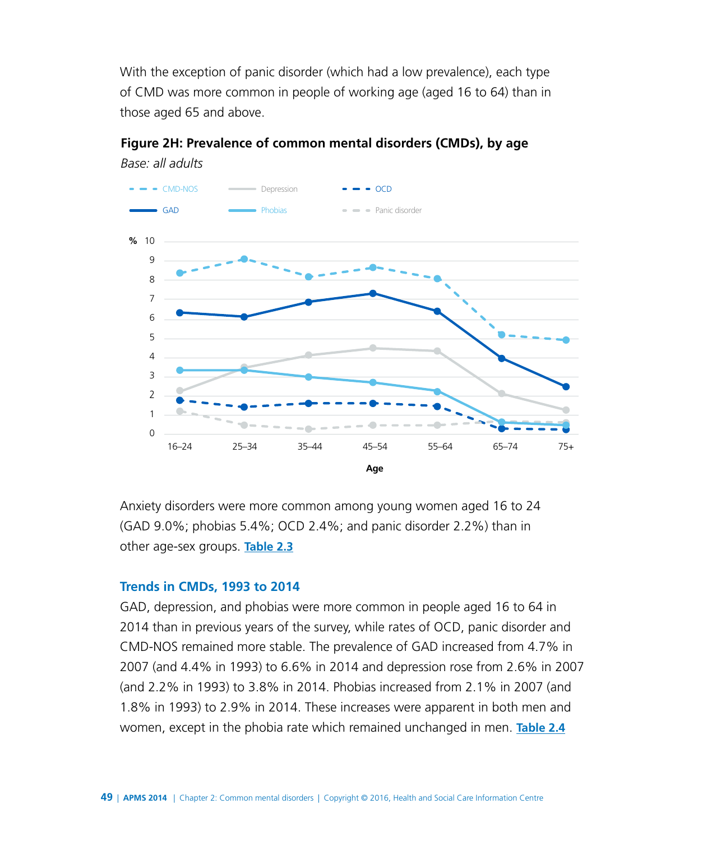With the exception of panic disorder (which had a low prevalence), each type of CMD was more common in people of working age (aged 16 to 64) than in those aged 65 and above.

**Figure 2H: Prevalence of common mental disorders (CMDs), by age**



*Base: all adults*

Anxiety disorders were more common among young women aged 16 to 24 (GAD 9.0%; phobias 5.4%; OCD 2.4%; and panic disorder 2.2%) than in other age-sex groups. **[Table 2.3](http://www.digital.nhs.uk/catalogue/PUB21748/apms-2014-ch-02-tabs.xls)**

#### **Trends in CMDs, 1993 to 2014**

GAD, depression, and phobias were more common in people aged 16 to 64 in 2014 than in previous years of the survey, while rates of OCD, panic disorder and CMD-NOS remained more stable. The prevalence of GAD increased from 4.7% in 2007 (and 4.4% in 1993) to 6.6% in 2014 and depression rose from 2.6% in 2007 (and 2.2% in 1993) to 3.8% in 2014. Phobias increased from 2.1% in 2007 (and 1.8% in 1993) to 2.9% in 2014. These increases were apparent in both men and women, except in the phobia rate which remained unchanged in men. **[Table 2.4](http://www.digital.nhs.uk/catalogue/PUB21748/apms-2014-ch-02-tabs.xls)**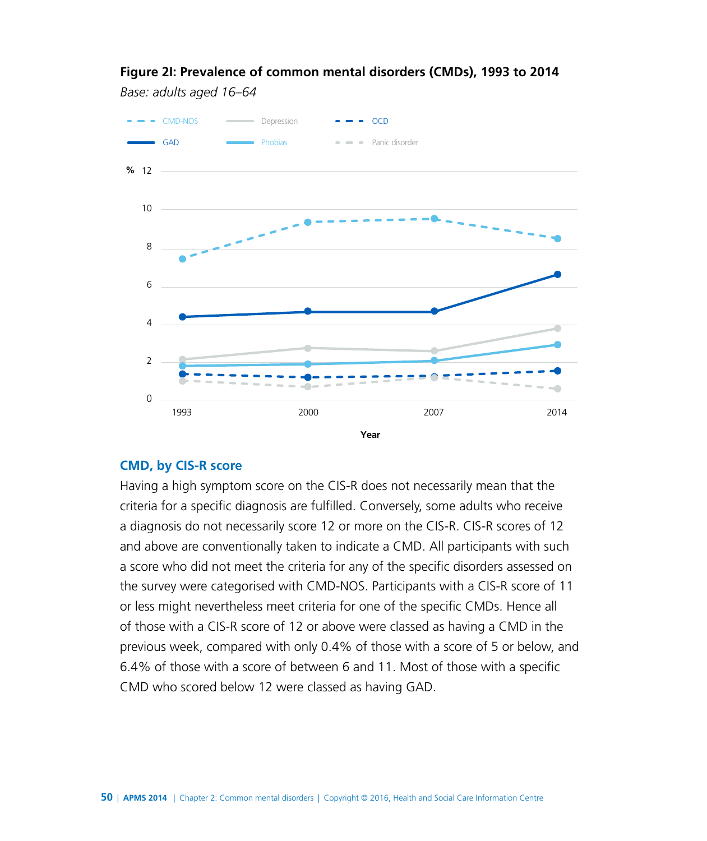#### **Figure 2I: Prevalence of common mental disorders (CMDs), 1993 to 2014**

*Base: adults aged 16–64*



#### **CMD, by CIS-R score**

Having a high symptom score on the CIS-R does not necessarily mean that the criteria for a specific diagnosis are fulfilled. Conversely, some adults who receive a diagnosis do not necessarily score 12 or more on the CIS-R. CIS-R scores of 12 and above are conventionally taken to indicate a CMD. All participants with such a score who did not meet the criteria for any of the specific disorders assessed on the survey were categorised with CMD-NOS. Participants with a CIS-R score of 11 or less might nevertheless meet criteria for one of the specific CMDs. Hence all of those with a CIS-R score of 12 or above were classed as having a CMD in the previous week, compared with only 0.4% of those with a score of 5 or below, and 6.4% of those with a score of between 6 and 11. Most of those with a specific CMD who scored below 12 were classed as having GAD.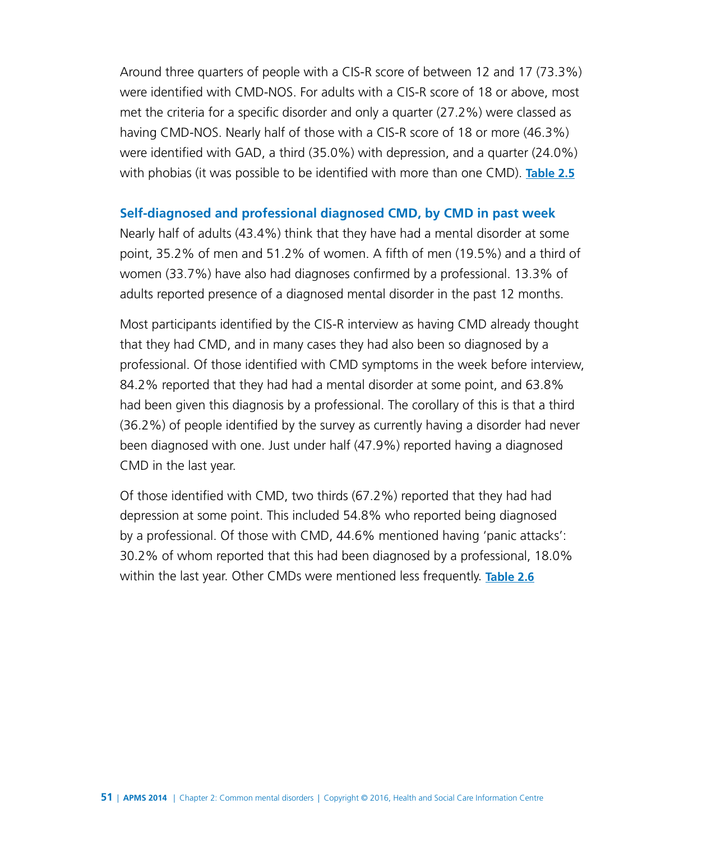Around three quarters of people with a CIS-R score of between 12 and 17 (73.3%) were identified with CMD-NOS. For adults with a CIS-R score of 18 or above, most met the criteria for a specific disorder and only a quarter (27.2%) were classed as having CMD-NOS. Nearly half of those with a CIS-R score of 18 or more (46.3%) were identified with GAD, a third (35.0%) with depression, and a quarter (24.0%) with phobias (it was possible to be identified with more than one CMD). **[Table 2.5](http://www.digital.nhs.uk/catalogue/PUB21748/apms-2014-ch-02-tabs.xls)**

#### **Self-diagnosed and professional diagnosed CMD, by CMD in past week**

Nearly half of adults (43.4%) think that they have had a mental disorder at some point, 35.2% of men and 51.2% of women. A fifth of men (19.5%) and a third of women (33.7%) have also had diagnoses confirmed by a professional. 13.3% of adults reported presence of a diagnosed mental disorder in the past 12 months.

Most participants identified by the CIS-R interview as having CMD already thought that they had CMD, and in many cases they had also been so diagnosed by a professional. Of those identified with CMD symptoms in the week before interview, 84.2% reported that they had had a mental disorder at some point, and 63.8% had been given this diagnosis by a professional. The corollary of this is that a third (36.2%) of people identified by the survey as currently having a disorder had never been diagnosed with one. Just under half (47.9%) reported having a diagnosed CMD in the last year.

Of those identified with CMD, two thirds (67.2%) reported that they had had depression at some point. This included 54.8% who reported being diagnosed by a professional. Of those with CMD, 44.6% mentioned having 'panic attacks': 30.2% of whom reported that this had been diagnosed by a professional, 18.0% within the last year. Other CMDs were mentioned less frequently. **[Table 2.6](http://www.digital.nhs.uk/catalogue/PUB21748/apms-2014-ch-02-tabs.xls)**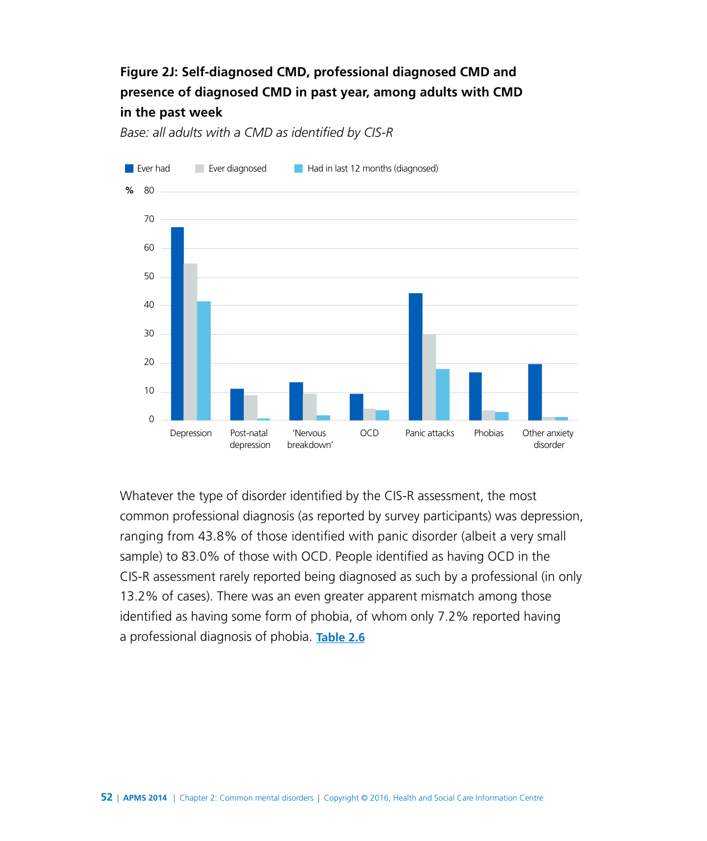### **Figure 2J: Self-diagnosed CMD, professional diagnosed CMD and presence of diagnosed CMD in past year, among adults with CMD in the past week**

*Base: all adults with a CMD as identified by CIS-R*



Whatever the type of disorder identified by the CIS-R assessment, the most common professional diagnosis (as reported by survey participants) was depression, ranging from 43.8% of those identified with panic disorder (albeit a very small sample) to 83.0% of those with OCD. People identified as having OCD in the CIS-R assessment rarely reported being diagnosed as such by a professional (in only 13.2% of cases). There was an even greater apparent mismatch among those identified as having some form of phobia, of whom only 7.2% reported having a professional diagnosis of phobia. **[Table 2.6](http://www.digital.nhs.uk/catalogue/PUB21748/apms-2014-ch-02-tabs.xls)**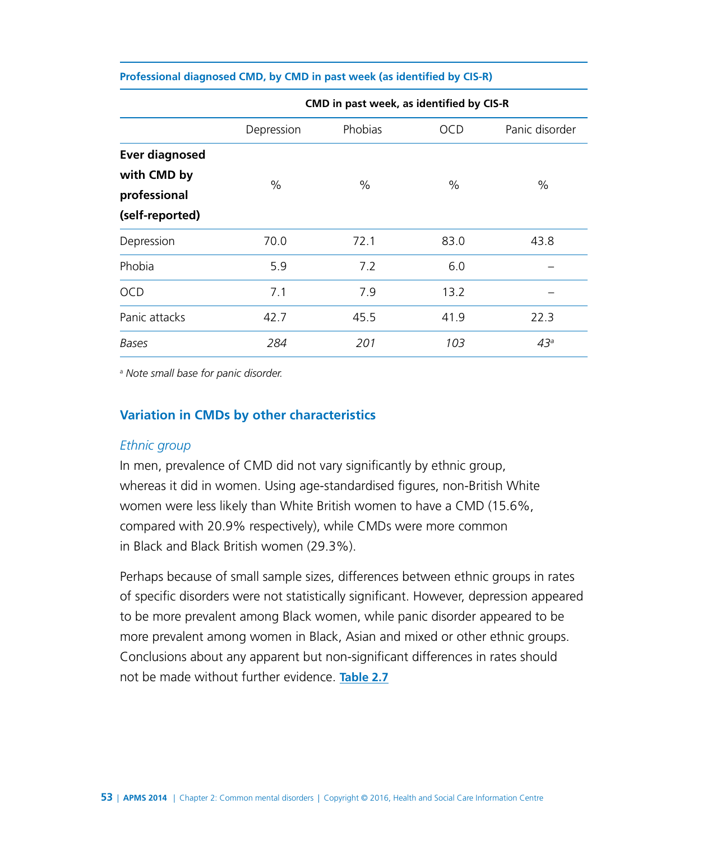|  |  | Professional diagnosed CMD, by CMD in past week (as identified by CIS-R) |  |
|--|--|--------------------------------------------------------------------------|--|
|  |  |                                                                          |  |

|                       | CMD in past week, as identified by CIS-R |         |            |                 |  |  |  |
|-----------------------|------------------------------------------|---------|------------|-----------------|--|--|--|
|                       | Depression                               | Phobias | <b>OCD</b> | Panic disorder  |  |  |  |
| <b>Ever diagnosed</b> |                                          |         |            |                 |  |  |  |
| with CMD by           | $\%$                                     | $\%$    | $\%$       | $\%$            |  |  |  |
| professional          |                                          |         |            |                 |  |  |  |
| (self-reported)       |                                          |         |            |                 |  |  |  |
| Depression            | 70.0                                     | 72.1    | 83.0       | 43.8            |  |  |  |
| Phobia                | 5.9                                      | 7.2     | 6.0        |                 |  |  |  |
| <b>OCD</b>            | 7.1                                      | 7.9     | 13.2       |                 |  |  |  |
| Panic attacks         | 42.7                                     | 45.5    | 41.9       | 22.3            |  |  |  |
| Bases                 | 284                                      | 201     | 103        | 43 <sup>a</sup> |  |  |  |

a  *Note small base for panic disorder.*

#### **Variation in CMDs by other characteristics**

#### *Ethnic group*

In men, prevalence of CMD did not vary significantly by ethnic group, whereas it did in women. Using age-standardised figures, non-British White women were less likely than White British women to have a CMD (15.6%, compared with 20.9% respectively), while CMDs were more common in Black and Black British women (29.3%).

Perhaps because of small sample sizes, differences between ethnic groups in rates of specific disorders were not statistically significant. However, depression appeared to be more prevalent among Black women, while panic disorder appeared to be more prevalent among women in Black, Asian and mixed or other ethnic groups. Conclusions about any apparent but non-significant differences in rates should not be made without further evidence. **[Table 2.7](http://www.digital.nhs.uk/catalogue/PUB21748/apms-2014-ch-02-tabs.xls)**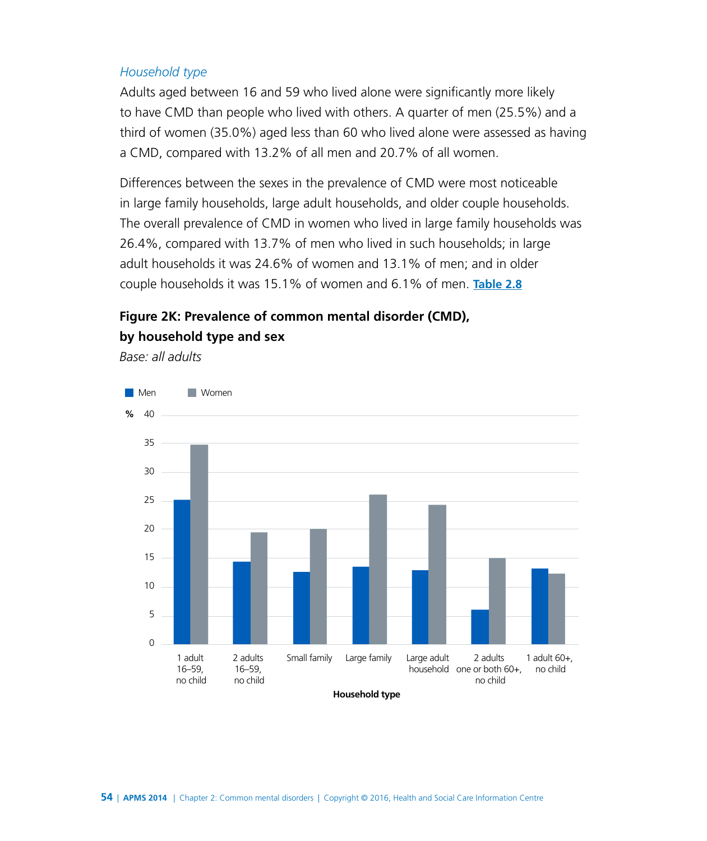#### *Household type*

Adults aged between 16 and 59 who lived alone were significantly more likely to have CMD than people who lived with others. A quarter of men (25.5%) and a third of women (35.0%) aged less than 60 who lived alone were assessed as having a CMD, compared with 13.2% of all men and 20.7% of all women.

Differences between the sexes in the prevalence of CMD were most noticeable in large family households, large adult households, and older couple households. The overall prevalence of CMD in women who lived in large family households was 26.4%, compared with 13.7% of men who lived in such households; in large adult households it was 24.6% of women and 13.1% of men; and in older couple households it was 15.1% of women and 6.1% of men. **[Table 2.8](http://www.digital.nhs.uk/catalogue/PUB21748/apms-2014-ch-02-tabs.xls)**

### **Figure 2K: Prevalence of common mental disorder (CMD), by household type and sex**

*Base: all adults*



**Household type**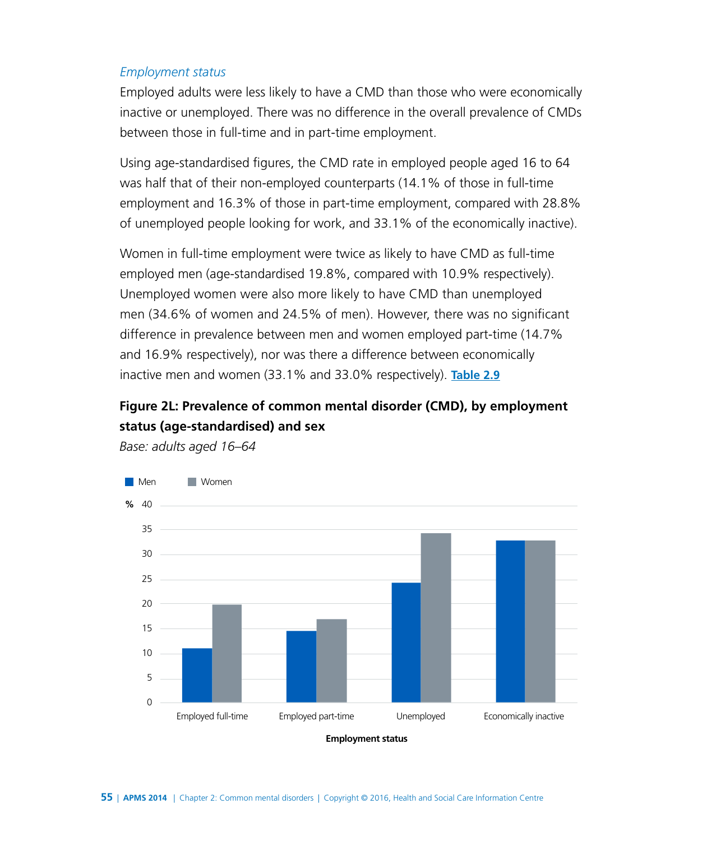#### *Employment status*

Employed adults were less likely to have a CMD than those who were economically inactive or unemployed. There was no difference in the overall prevalence of CMDs between those in full-time and in part-time employment.

Using age-standardised figures, the CMD rate in employed people aged 16 to 64 was half that of their non-employed counterparts (14.1% of those in full-time employment and 16.3% of those in part-time employment, compared with 28.8% of unemployed people looking for work, and 33.1% of the economically inactive).

Women in full-time employment were twice as likely to have CMD as full-time employed men (age-standardised 19.8%, compared with 10.9% respectively). Unemployed women were also more likely to have CMD than unemployed men (34.6% of women and 24.5% of men). However, there was no significant difference in prevalence between men and women employed part-time (14.7% and 16.9% respectively), nor was there a difference between economically inactive men and women (33.1% and 33.0% respectively). **[Table 2.9](http://www.digital.nhs.uk/catalogue/PUB21748/apms-2014-ch-02-tabs.xls)**

### **Figure 2L: Prevalence of common mental disorder (CMD), by employment status (age-standardised) and sex**



*Base: adults aged 16–64*

**Employment status**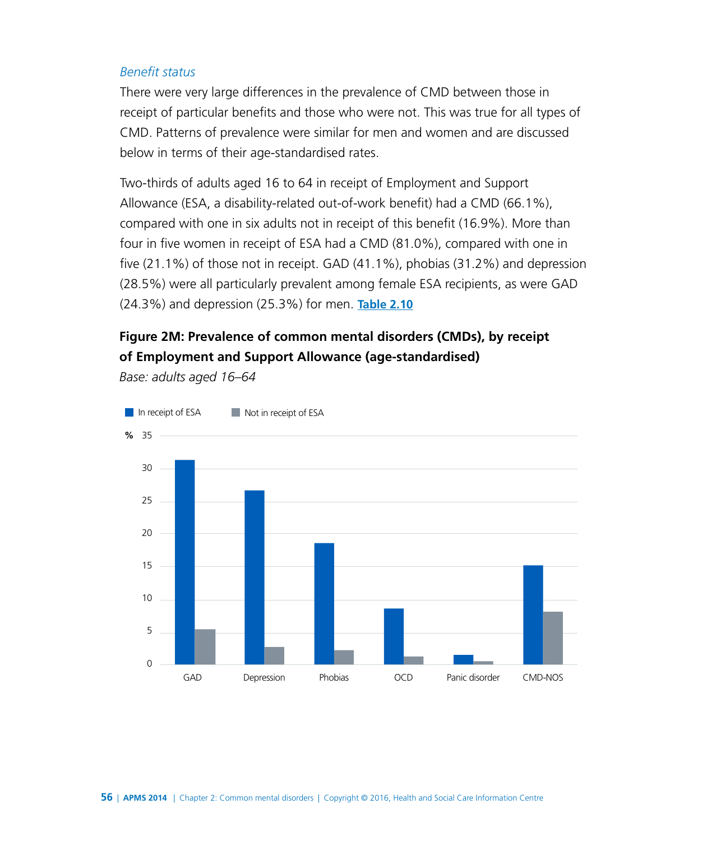#### *Benefit status*

There were very large differences in the prevalence of CMD between those in receipt of particular benefits and those who were not. This was true for all types of CMD. Patterns of prevalence were similar for men and women and are discussed below in terms of their age-standardised rates.

Two-thirds of adults aged 16 to 64 in receipt of Employment and Support Allowance (ESA, a disability-related out-of-work benefit) had a CMD (66.1%), compared with one in six adults not in receipt of this benefit (16.9%). More than four in five women in receipt of ESA had a CMD (81.0%), compared with one in five (21.1%) of those not in receipt. GAD (41.1%), phobias (31.2%) and depression (28.5%) were all particularly prevalent among female ESA recipients, as were GAD (24.3%) and depression (25.3%) for men. **[Table 2.10](http://www.digital.nhs.uk/catalogue/PUB21748/apms-2014-ch-02-tabs.xls)**

### **Figure 2M: Prevalence of common mental disorders (CMDs), by receipt of Employment and Support Allowance (age-standardised)**

*Base: adults aged 16–64*

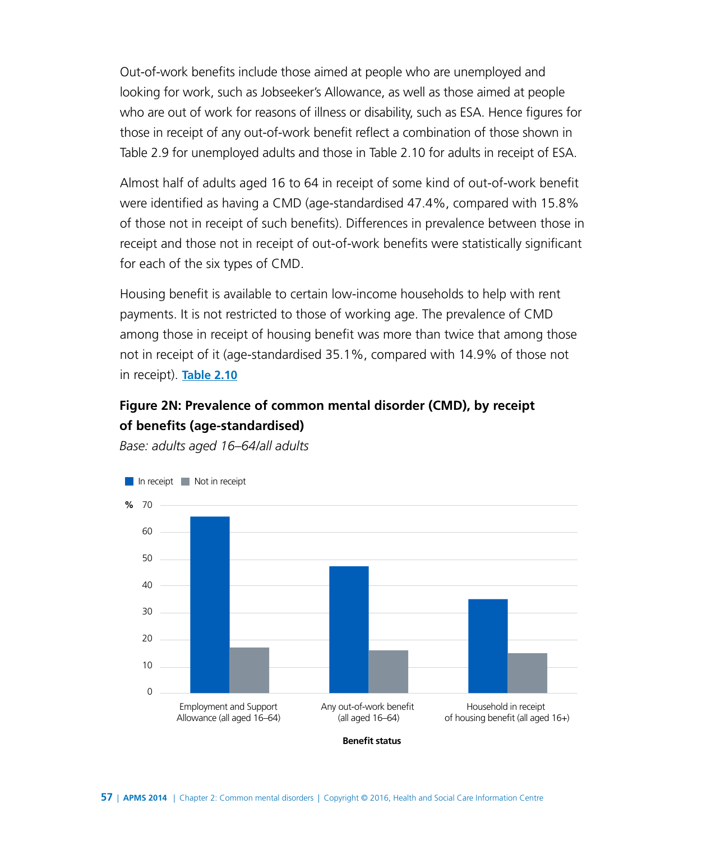Out-of-work benefits include those aimed at people who are unemployed and looking for work, such as Jobseeker's Allowance, as well as those aimed at people who are out of work for reasons of illness or disability, such as ESA. Hence figures for those in receipt of any out-of-work benefit reflect a combination of those shown in Table 2.9 for unemployed adults and those in Table 2.10 for adults in receipt of ESA.

Almost half of adults aged 16 to 64 in receipt of some kind of out-of-work benefit were identified as having a CMD (age-standardised 47.4%, compared with 15.8% of those not in receipt of such benefits). Differences in prevalence between those in receipt and those not in receipt of out-of-work benefits were statistically significant for each of the six types of CMD.

Housing benefit is available to certain low-income households to help with rent payments. It is not restricted to those of working age. The prevalence of CMD among those in receipt of housing benefit was more than twice that among those not in receipt of it (age-standardised 35.1%, compared with 14.9% of those not in receipt). **[Table 2.10](http://www.digital.nhs.uk/catalogue/PUB21748/apms-2014-ch-02-tabs.xls)**

### **Figure 2N: Prevalence of common mental disorder (CMD), by receipt of benefits (age-standardised)**

*Base: adults aged 16–64/all adults*



**Benefit status**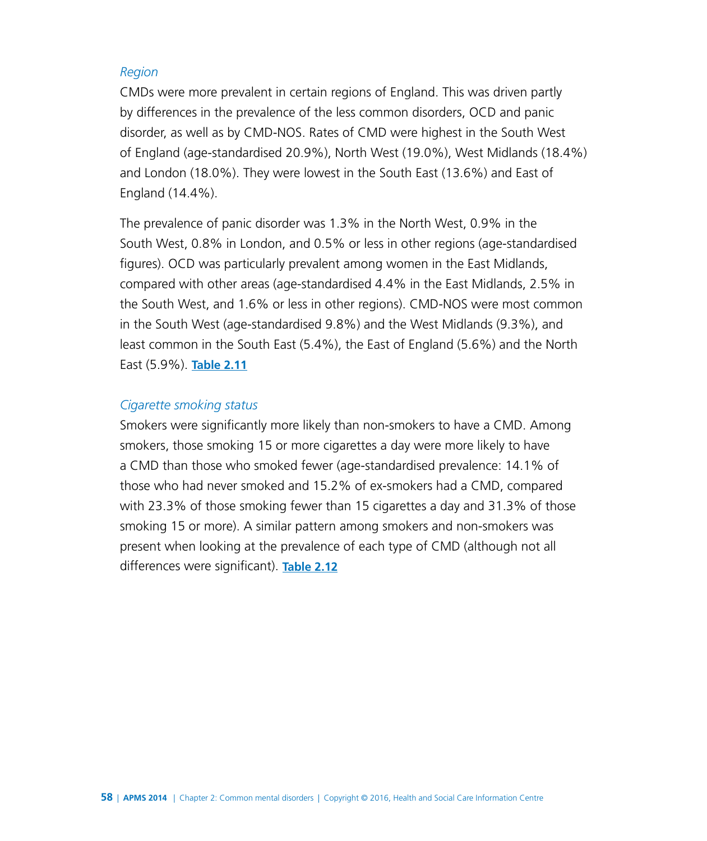#### *Region*

CMDs were more prevalent in certain regions of England. This was driven partly by differences in the prevalence of the less common disorders, OCD and panic disorder, as well as by CMD-NOS. Rates of CMD were highest in the South West of England (age-standardised 20.9%), North West (19.0%), West Midlands (18.4%) and London (18.0%). They were lowest in the South East (13.6%) and East of England (14.4%).

The prevalence of panic disorder was 1.3% in the North West, 0.9% in the South West, 0.8% in London, and 0.5% or less in other regions (age-standardised figures). OCD was particularly prevalent among women in the East Midlands, compared with other areas (age-standardised 4.4% in the East Midlands, 2.5% in the South West, and 1.6% or less in other regions). CMD-NOS were most common in the South West (age-standardised 9.8%) and the West Midlands (9.3%), and least common in the South East (5.4%), the East of England (5.6%) and the North East (5.9%). **[Table 2.11](http://www.digital.nhs.uk/catalogue/PUB21748/apms-2014-ch-02-tabs.xls)**

#### *Cigarette smoking status*

Smokers were significantly more likely than non-smokers to have a CMD. Among smokers, those smoking 15 or more cigarettes a day were more likely to have a CMD than those who smoked fewer (age-standardised prevalence: 14.1% of those who had never smoked and 15.2% of ex-smokers had a CMD, compared with 23.3% of those smoking fewer than 15 cigarettes a day and 31.3% of those smoking 15 or more). A similar pattern among smokers and non-smokers was present when looking at the prevalence of each type of CMD (although not all differences were significant). **[Table 2.12](http://www.digital.nhs.uk/catalogue/PUB21748/apms-2014-ch-02-tabs.xls)**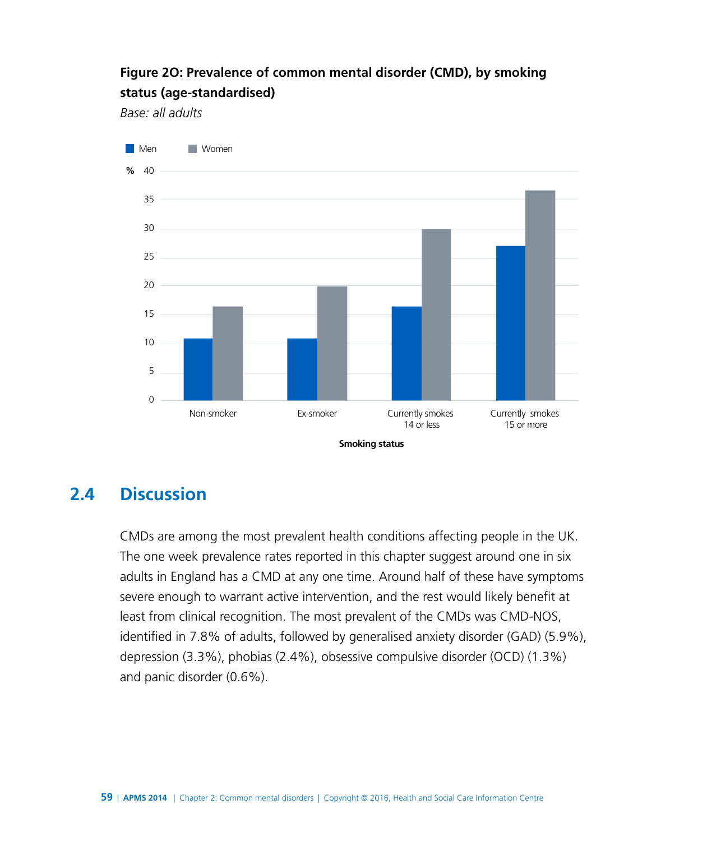### **Figure 2O: Prevalence of common mental disorder (CMD), by smoking status (age-standardised)**

*Base: all adults*



# **2.4 Discussion**

CMDs are among the most prevalent health conditions affecting people in the UK. The one week prevalence rates reported in this chapter suggest around one in six adults in England has a CMD at any one time. Around half of these have symptoms severe enough to warrant active intervention, and the rest would likely benefit at least from clinical recognition. The most prevalent of the CMDs was CMD-NOS, identified in 7.8% of adults, followed by generalised anxiety disorder (GAD) (5.9%), depression (3.3%), phobias (2.4%), obsessive compulsive disorder (OCD) (1.3%) and panic disorder (0.6%).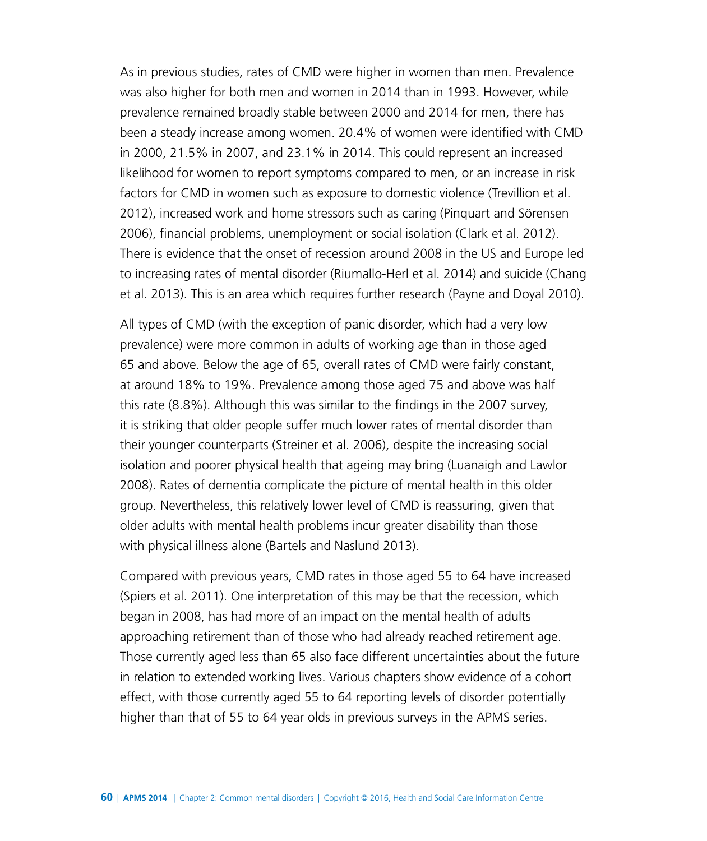As in previous studies, rates of CMD were higher in women than men. Prevalence was also higher for both men and women in 2014 than in 1993. However, while prevalence remained broadly stable between 2000 and 2014 for men, there has been a steady increase among women. 20.4% of women were identified with CMD in 2000, 21.5% in 2007, and 23.1% in 2014. This could represent an increased likelihood for women to report symptoms compared to men, or an increase in risk factors for CMD in women such as exposure to domestic violence (Trevillion et al. 2012), increased work and home stressors such as caring (Pinquart and Sörensen 2006), financial problems, unemployment or social isolation (Clark et al. 2012). There is evidence that the onset of recession around 2008 in the US and Europe led to increasing rates of mental disorder (Riumallo-Herl et al. 2014) and suicide (Chang et al. 2013). This is an area which requires further research (Payne and Doyal 2010).

All types of CMD (with the exception of panic disorder, which had a very low prevalence) were more common in adults of working age than in those aged 65 and above. Below the age of 65, overall rates of CMD were fairly constant, at around 18% to 19%. Prevalence among those aged 75 and above was half this rate (8.8%). Although this was similar to the findings in the 2007 survey, it is striking that older people suffer much lower rates of mental disorder than their younger counterparts (Streiner et al. 2006), despite the increasing social isolation and poorer physical health that ageing may bring (Luanaigh and Lawlor 2008). Rates of dementia complicate the picture of mental health in this older group. Nevertheless, this relatively lower level of CMD is reassuring, given that older adults with mental health problems incur greater disability than those with physical illness alone (Bartels and Naslund 2013).

Compared with previous years, CMD rates in those aged 55 to 64 have increased (Spiers et al. 2011). One interpretation of this may be that the recession, which began in 2008, has had more of an impact on the mental health of adults approaching retirement than of those who had already reached retirement age. Those currently aged less than 65 also face different uncertainties about the future in relation to extended working lives. Various chapters show evidence of a cohort effect, with those currently aged 55 to 64 reporting levels of disorder potentially higher than that of 55 to 64 year olds in previous surveys in the APMS series.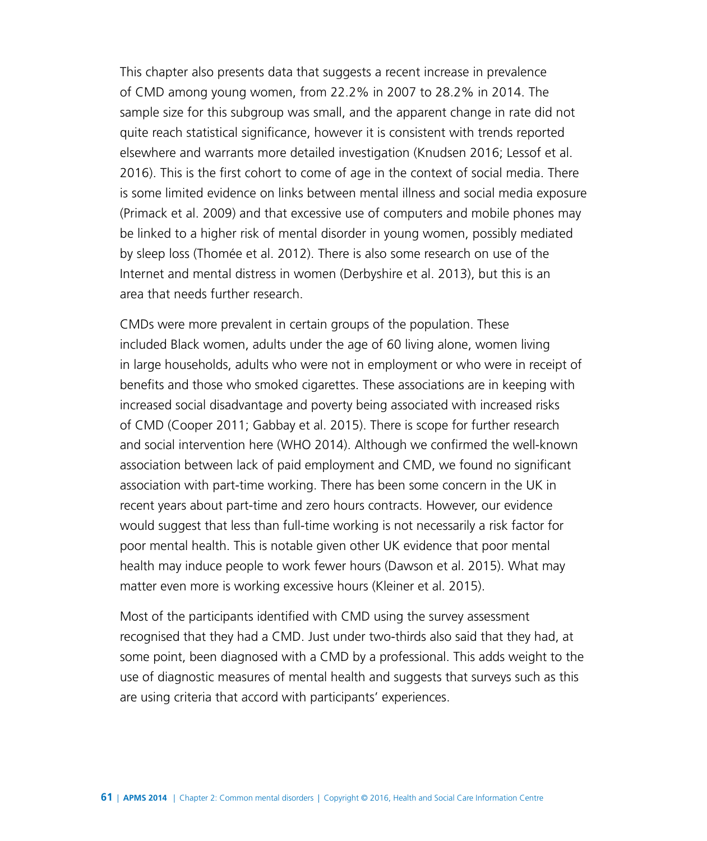This chapter also presents data that suggests a recent increase in prevalence of CMD among young women, from 22.2% in 2007 to 28.2% in 2014. The sample size for this subgroup was small, and the apparent change in rate did not quite reach statistical significance, however it is consistent with trends reported elsewhere and warrants more detailed investigation (Knudsen 2016; Lessof et al. 2016). This is the first cohort to come of age in the context of social media. There is some limited evidence on links between mental illness and social media exposure (Primack et al. 2009) and that excessive use of computers and mobile phones may be linked to a higher risk of mental disorder in young women, possibly mediated by sleep loss (Thomée et al. 2012). There is also some research on use of the Internet and mental distress in women (Derbyshire et al. 2013), but this is an area that needs further research.

CMDs were more prevalent in certain groups of the population. These included Black women, adults under the age of 60 living alone, women living in large households, adults who were not in employment or who were in receipt of benefits and those who smoked cigarettes. These associations are in keeping with increased social disadvantage and poverty being associated with increased risks of CMD (Cooper 2011; Gabbay et al. 2015). There is scope for further research and social intervention here (WHO 2014). Although we confirmed the well-known association between lack of paid employment and CMD, we found no significant association with part-time working. There has been some concern in the UK in recent years about part-time and zero hours contracts. However, our evidence would suggest that less than full-time working is not necessarily a risk factor for poor mental health. This is notable given other UK evidence that poor mental health may induce people to work fewer hours (Dawson et al. 2015). What may matter even more is working excessive hours (Kleiner et al. 2015).

Most of the participants identified with CMD using the survey assessment recognised that they had a CMD. Just under two-thirds also said that they had, at some point, been diagnosed with a CMD by a professional. This adds weight to the use of diagnostic measures of mental health and suggests that surveys such as this are using criteria that accord with participants' experiences.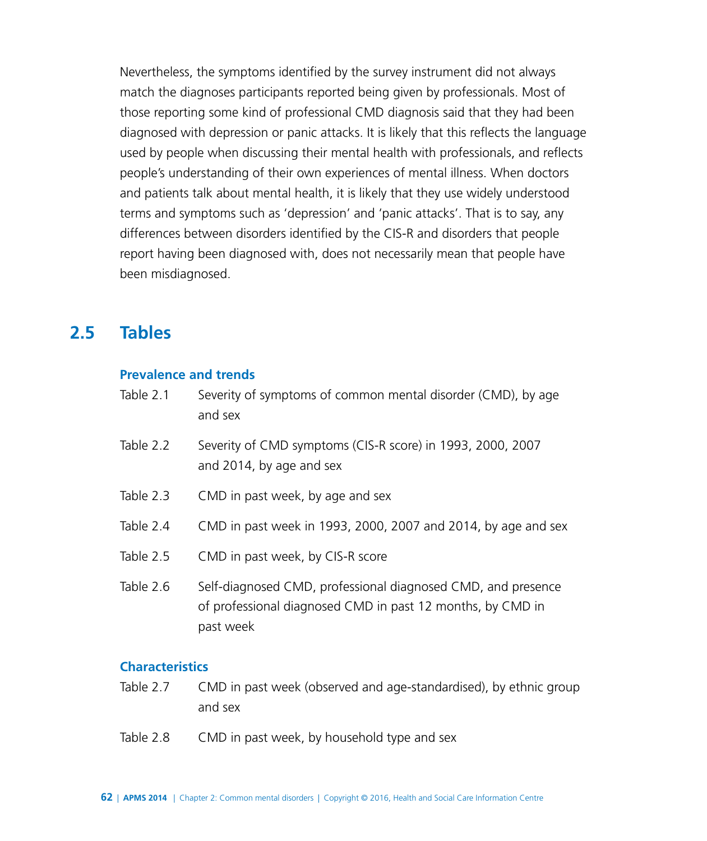Nevertheless, the symptoms identified by the survey instrument did not always match the diagnoses participants reported being given by professionals. Most of those reporting some kind of professional CMD diagnosis said that they had been diagnosed with depression or panic attacks. It is likely that this reflects the language used by people when discussing their mental health with professionals, and reflects people's understanding of their own experiences of mental illness. When doctors and patients talk about mental health, it is likely that they use widely understood terms and symptoms such as 'depression' and 'panic attacks'. That is to say, any differences between disorders identified by the CIS-R and disorders that people report having been diagnosed with, does not necessarily mean that people have been misdiagnosed.

### **2.5 Tables**

#### **Prevalence and trends**

- Table 2.1 Severity of symptoms of common mental disorder (CMD), by age and sex
- Table 2.2 Severity of CMD symptoms (CIS-R score) in 1993, 2000, 2007 and 2014, by age and sex
- Table 2.3 CMD in past week, by age and sex
- Table 2.4 CMD in past week in 1993, 2000, 2007 and 2014, by age and sex
- Table 2.5 CMD in past week, by CIS-R score
- Table 2.6 Self-diagnosed CMD, professional diagnosed CMD, and presence of professional diagnosed CMD in past 12 months, by CMD in past week

#### **Characteristics**

- Table 2.7 CMD in past week (observed and age-standardised), by ethnic group and sex
- Table 2.8 CMD in past week, by household type and sex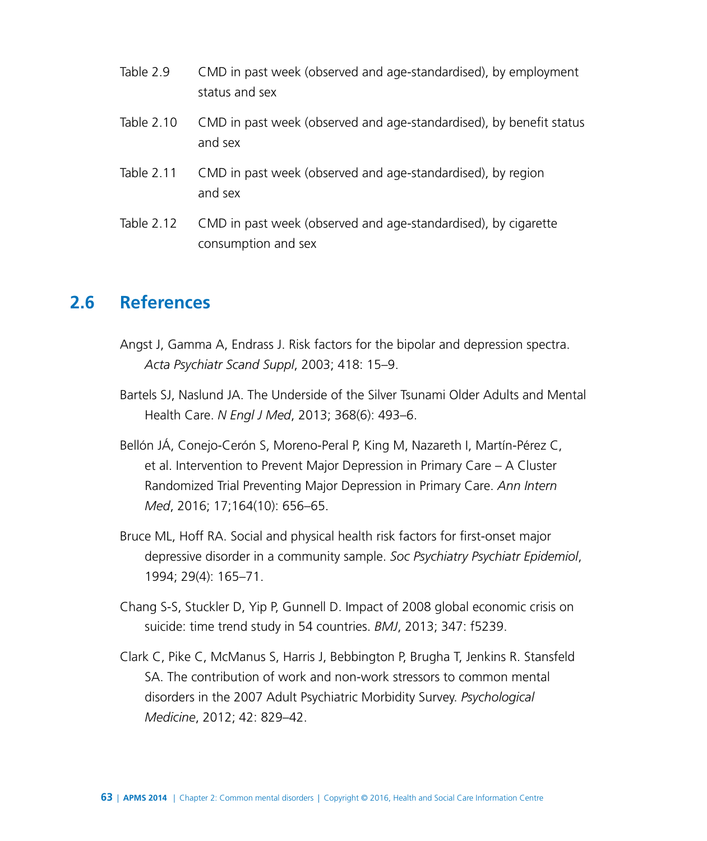- Table 2.9 CMD in past week (observed and age-standardised), by employment status and sex
- Table 2.10 CMD in past week (observed and age-standardised), by benefit status and sex
- Table 2.11 CMD in past week (observed and age-standardised), by region and sex
- Table 2.12 CMD in past week (observed and age-standardised), by cigarette consumption and sex

# **2.6 References**

- Angst J, Gamma A, Endrass J. Risk factors for the bipolar and depression spectra. *Acta Psychiatr Scand Suppl*, 2003; 418: 15–9.
- Bartels SJ, Naslund JA. The Underside of the Silver Tsunami Older Adults and Mental Health Care. *N Engl J Med*, 2013; 368(6): 493–6.
- Bellón JÁ, Conejo-Cerón S, Moreno-Peral P, King M, Nazareth I, Martín-Pérez C, et al. Intervention to Prevent Major Depression in Primary Care – A Cluster Randomized Trial Preventing Major Depression in Primary Care. *Ann Intern Med*, 2016; 17;164(10): 656–65.
- Bruce ML, Hoff RA. Social and physical health risk factors for first-onset major depressive disorder in a community sample. *Soc Psychiatry Psychiatr Epidemiol*, 1994; 29(4): 165–71.
- Chang S-S, Stuckler D, Yip P, Gunnell D. Impact of 2008 global economic crisis on suicide: time trend study in 54 countries. *BMJ*, 2013; 347: f5239.
- Clark C, Pike C, McManus S, Harris J, Bebbington P, Brugha T, Jenkins R. Stansfeld SA. The contribution of work and non-work stressors to common mental disorders in the 2007 Adult Psychiatric Morbidity Survey. *Psychological Medicine*, 2012; 42: 829–42.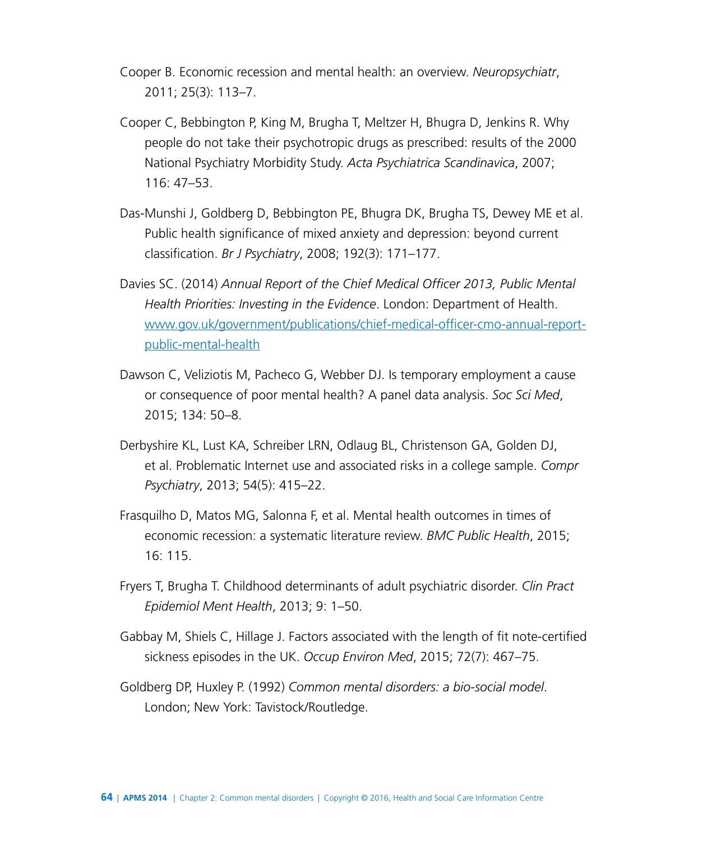- Cooper B. [Economic recession and mental health: an overview.](http://www.ncbi.nlm.nih.gov/pubmed/21968374) *Neuropsychiatr*, 2011; 25(3): 113–7.
- Cooper C, Bebbington P, King M, Brugha T, Meltzer H, Bhugra D, Jenkins R. Why people do not take their psychotropic drugs as prescribed: results of the 2000 National Psychiatry Morbidity Study. *Acta Psychiatrica Scandinavica*, 2007; 116: 47–53.
- Das-Munshi J, Goldberg D, Bebbington PE, Bhugra DK, Brugha TS, Dewey ME et al. Public health significance of mixed anxiety and depression: beyond current classification. *Br J Psychiatry*, 2008; 192(3): 171–177.
- Davies SC. (2014) *Annual Report of the Chief Medical Officer 2013, Public Mental Health Priorities: Investing in the Evidence*. London: Department of Health. [www.gov.uk/government/publications/chief-medical-officer-cmo-annual-report](https://www.gov.uk/government/publications/chief-medical-officer-cmo-annual-report-public-mental-health)[public-mental-health](https://www.gov.uk/government/publications/chief-medical-officer-cmo-annual-report-public-mental-health)
- Dawson C, Veliziotis M, Pacheco G, Webber DJ. Is temporary employment a cause or consequence of poor mental health? A panel data analysis. *Soc Sci Med*, 2015; 134: 50–8.
- Derbyshire KL, Lust KA, Schreiber LRN, Odlaug BL, Christenson GA, Golden DJ, et al. Problematic Internet use and associated risks in a college sample. *Compr Psychiatry*, 2013; 54(5): 415–22.
- Frasquilho D, Matos MG, Salonna F, et al. Mental health outcomes in times of economic recession: a systematic literature review. *BMC Public Health*, 2015; 16: 115.
- Fryers T, Brugha T. [Childhood determinants of adult psychiatric disorder.](http://www.ncbi.nlm.nih.gov/pubmed/23539489) *Clin Pract Epidemiol Ment Health*, 2013; 9: 1–50.
- Gabbay M, Shiels C, Hillage J. [Factors associated with the length of fit note-certified](http://www.ncbi.nlm.nih.gov/pubmed/25713158)  [sickness episodes in the UK.](http://www.ncbi.nlm.nih.gov/pubmed/25713158) *Occup Environ Med*, 2015; 72(7): 467–75.
- Goldberg DP, Huxley P. (1992) *Common mental disorders: a bio-social model*. London; New York: Tavistock/Routledge.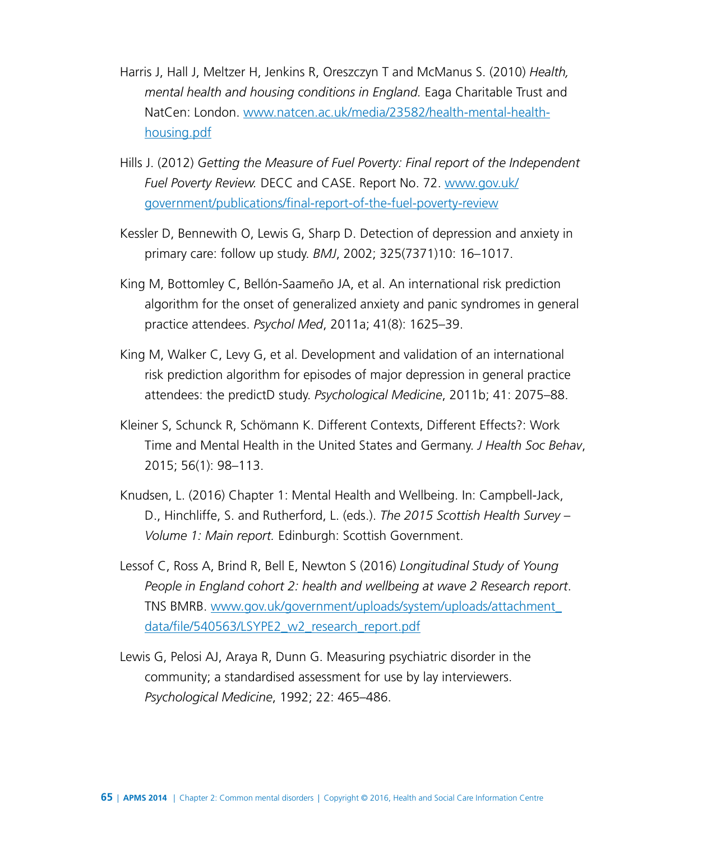- Harris J, Hall J, Meltzer H, Jenkins R, Oreszczyn T and McManus S. (2010) *Health, mental health and housing conditions in England.* Eaga Charitable Trust and NatCen: London. [www.natcen.ac.uk/media/23582/health-mental-health](https://www.natcen.ac.uk/media/23582/health-mental-health-housing.pdf)[housing.pdf](https://www.natcen.ac.uk/media/23582/health-mental-health-housing.pdf)
- Hills J. (2012) *Getting the Measure of Fuel Poverty: Final report of the Independent Fuel Poverty Review.* DECC and CASE. Report No. 72. [www.gov.uk/](https://www.gov.uk/government/publications/final-report-of-the-fuel-poverty-review) [government/publications/final-report-of-the-fuel-poverty-review](https://www.gov.uk/government/publications/final-report-of-the-fuel-poverty-review)
- Kessler D, Bennewith O, Lewis G, Sharp D. Detection of depression and anxiety in primary care: follow up study. *BMJ*, 2002; 325(7371)10: 16–1017.
- King M, Bottomley C, Bellón-Saameño JA, et al. [An international risk prediction](http://www.ncbi.nlm.nih.gov/pubmed/21208520)  [algorithm for the onset of generalized anxiety and panic syndromes in general](http://www.ncbi.nlm.nih.gov/pubmed/21208520)  [practice attendees.](http://www.ncbi.nlm.nih.gov/pubmed/21208520) *Psychol Med*, 2011a; 41(8): 1625–39.
- King M, Walker C, Levy G, et al. Development and validation of an international risk prediction algorithm for episodes of major depression in general practice attendees: the predictD study. *Psychological Medicine*, 2011b; 41: 2075–88.
- Kleiner S, Schunck R, Schömann K. Different Contexts, Different Effects?: Work Time and Mental Health in the United States and Germany. *J Health Soc Behav*, 2015; 56(1): 98–113.
- Knudsen, L. (2016) Chapter 1: Mental Health and Wellbeing. In: Campbell-Jack, D., Hinchliffe, S. and Rutherford, L. (eds.). *The 2015 Scottish Health Survey – Volume 1: Main report.* Edinburgh: Scottish Government.
- Lessof C, Ross A, Brind R, Bell E, Newton S (2016) *Longitudinal Study of Young People in England cohort 2: health and wellbeing at wave 2 Research report*. TNS BMRB. [www.gov.uk/government/uploads/system/uploads/attachment\\_](https://www.gov.uk/government/uploads/system/uploads/attachment_data/file/540563/LSYPE2_w2_research_report.pdf) [data/file/540563/LSYPE2\\_w2\\_research\\_report.pdf](https://www.gov.uk/government/uploads/system/uploads/attachment_data/file/540563/LSYPE2_w2_research_report.pdf)
- Lewis G, Pelosi AJ, Araya R, Dunn G. Measuring psychiatric disorder in the community; a standardised assessment for use by lay interviewers. *Psychological Medicine*, 1992; 22: 465–486.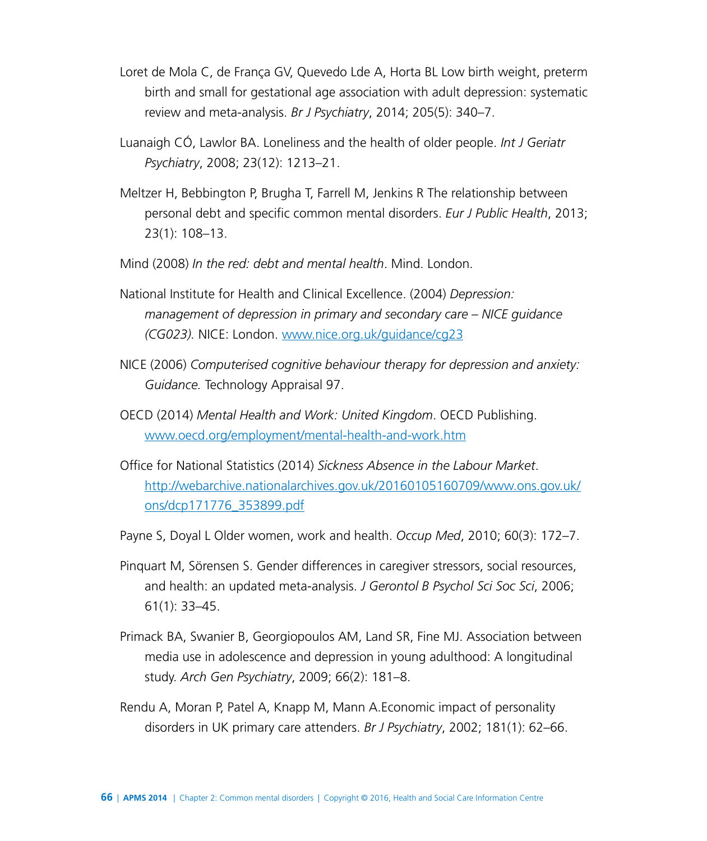- [Loret de Mola C,](http://www.ncbi.nlm.nih.gov/pubmed/?term=Loret%20de%20Mola%20C%5BAuthor%5D&cauthor=true&cauthor_uid=25368358) [de França GV](http://www.ncbi.nlm.nih.gov/pubmed/?term=de%20Fran%C3%A7a%20GV%5BAuthor%5D&cauthor=true&cauthor_uid=25368358), [Quevedo Lde A](http://www.ncbi.nlm.nih.gov/pubmed/?term=Quevedo%20Lde%20A%5BAuthor%5D&cauthor=true&cauthor_uid=25368358), [Horta BL](http://www.ncbi.nlm.nih.gov/pubmed/?term=Horta%20BL%5BAuthor%5D&cauthor=true&cauthor_uid=25368358) Low birth weight, preterm birth and small for gestational age association with adult depression: systematic review and meta-analysis. *[Br J Psychiatry](http://www.ncbi.nlm.nih.gov/pubmed/25368358)*, 2014; 205(5): 340–7.
- Luanaigh CÓ, Lawlor BA. Loneliness and the health of older people. *Int J Geriatr Psychiatry*, 2008; 23(12): 1213–21.
- [Meltzer H,](http://www.ncbi.nlm.nih.gov/pubmed/?term=Meltzer%20H%5BAuthor%5D&cauthor=true&cauthor_uid=22434207) [Bebbington P](http://www.ncbi.nlm.nih.gov/pubmed/?term=Bebbington%20P%5BAuthor%5D&cauthor=true&cauthor_uid=22434207), [Brugha T](http://www.ncbi.nlm.nih.gov/pubmed/?term=Brugha%20T%5BAuthor%5D&cauthor=true&cauthor_uid=22434207), [Farrell M](http://www.ncbi.nlm.nih.gov/pubmed/?term=Farrell%20M%5BAuthor%5D&cauthor=true&cauthor_uid=22434207), [Jenkins R](http://www.ncbi.nlm.nih.gov/pubmed/?term=Jenkins%20R%5BAuthor%5D&cauthor=true&cauthor_uid=22434207) The relationship between personal debt and specific common mental disorders. *[Eur J Public Health](http://www.ncbi.nlm.nih.gov/pubmed/22434207)*, 2013; 23(1): 108–13.
- Mind (2008) *In the red: debt and mental health*. Mind. London.
- National Institute for Health and Clinical Excellence. (2004) *Depression: management of depression in primary and secondary care – NICE guidance (CG023).* NICE: London. [www.nice.org.uk/guidance/cg23](https://www.nice.org.uk/guidance/cg23)
- NICE (2006) *Computerised cognitive behaviour therapy for depression and anxiety: Guidance.* Technology Appraisal 97.
- OECD (2014) *Mental Health and Work: United Kingdom*. OECD Publishing. [www.oecd.org/employment/mental-health-and-work.htm](http://www.oecd.org/employment/mental-health-and-work.htm)
- Office for National Statistics (2014) *Sickness Absence in the Labour Market*. [http://webarchive.nationalarchives.gov.uk/20160105160709/www.ons.gov.uk/](http://webarchive.nationalarchives.gov.uk/20160105160709/http://www.ons.gov.uk/ons/dcp171776_353899.pdf) [ons/dcp171776\\_353899.pdf](http://webarchive.nationalarchives.gov.uk/20160105160709/http://www.ons.gov.uk/ons/dcp171776_353899.pdf)

[Payne S](http://www.ncbi.nlm.nih.gov/pubmed/?term=Payne%20S%5BAuthor%5D&cauthor=true&cauthor_uid=20423947), [Doyal L](http://www.ncbi.nlm.nih.gov/pubmed/?term=Doyal%20L%5BAuthor%5D&cauthor=true&cauthor_uid=20423947) Older women, work and health. *[Occup Med](http://www.ncbi.nlm.nih.gov/pubmed/20423947)*, 2010; 60(3): 172–7.

- Pinquart M, Sörensen S. [Gender differences in caregiver stressors, social resources,](http://www.ncbi.nlm.nih.gov/pubmed/16399940)  [and health: an updated meta-analysis.](http://www.ncbi.nlm.nih.gov/pubmed/16399940) *J Gerontol B Psychol Sci Soc Sci*, 2006; 61(1): 33–45.
- Primack BA, Swanier B, Georgiopoulos AM, Land SR, Fine MJ. Association between media use in adolescence and depression in young adulthood: A longitudinal study. *Arch Gen Psychiatry*, 2009; 66(2): 181–8.
- Rendu A, Moran P, Patel A, Knapp M, Mann [A.Economic](http://A.Economic) impact of personality disorders in UK primary care attenders. *Br J Psychiatry*, 2002; 181(1): 62–66.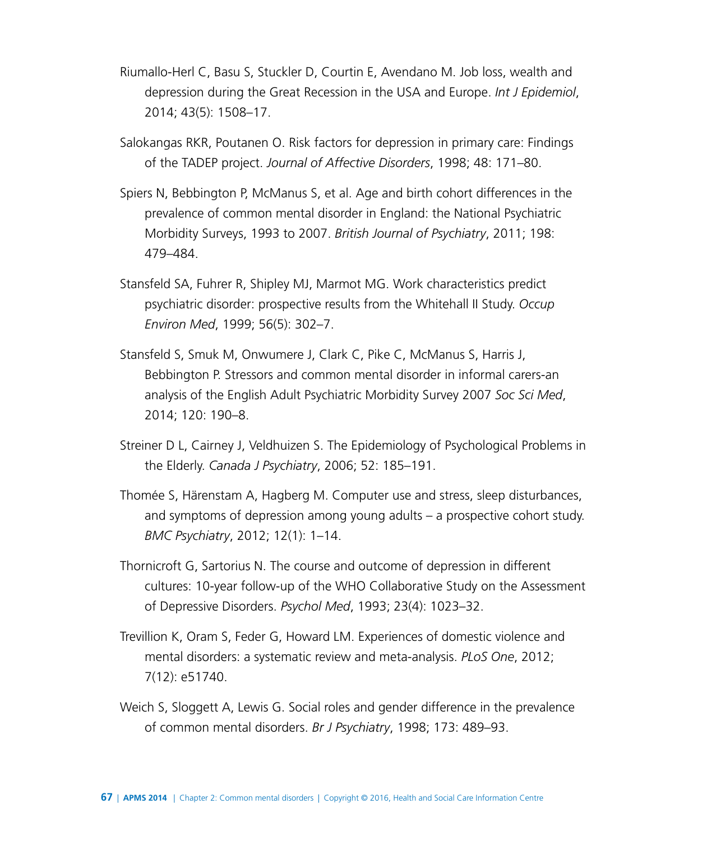- Riumallo-Herl C, Basu S, Stuckler D, Courtin E, Avendano M. Job loss, wealth and depression during the Great Recession in the USA and Europe. *Int J Epidemiol*, 2014; 43(5): 1508–17.
- Salokangas RKR, Poutanen O. Risk factors for depression in primary care: Findings of the TADEP project. *Journal of Affective Disorders*, 1998; 48: 171–80.
- Spiers N, Bebbington P, McManus S, et al. Age and birth cohort differences in the prevalence of common mental disorder in England: the National Psychiatric Morbidity Surveys, 1993 to 2007. *British Journal of Psychiatry*, 2011; 198: 479–484.
- Stansfeld SA, Fuhrer R, Shipley MJ, Marmot MG. Work characteristics predict psychiatric disorder: prospective results from the Whitehall II Study. *Occup Environ Med*, 1999; 56(5): 302–7.
- Stansfeld S, Smuk M, Onwumere J, Clark C, Pike C, McManus S, Harris J, Bebbington P. Stressors and common mental disorder in informal carers-an analysis of the English Adult Psychiatric Morbidity Survey 2007 *Soc Sci Med*, 2014; 120: 190–8.
- Streiner D L, Cairney J, Veldhuizen S. The Epidemiology of Psychological Problems in the Elderly. *Canada J Psychiatry*, 2006; 52: 185–191.
- Thomée S, Härenstam A, Hagberg M. Computer use and stress, sleep disturbances, and symptoms of depression among young adults – a prospective cohort study. *BMC Psychiatry*, 2012; 12(1): 1–14.
- Thornicroft G, Sartorius N. The course and outcome of depression in different cultures: 10-year follow-up of the WHO Collaborative Study on the Assessment of Depressive Disorders. *Psychol Med*, 1993; 23(4): 1023–32.
- Trevillion K, Oram S, Feder G, Howard LM. [Experiences of domestic violence and](http://www.ncbi.nlm.nih.gov/pubmed/23300562)  [mental disorders: a systematic review and meta-analysis.](http://www.ncbi.nlm.nih.gov/pubmed/23300562) *PLoS One*, 2012; 7(12): e51740.
- Weich S, Sloggett A, Lewis G. Social roles and gender difference in the prevalence of common mental disorders. *Br J Psychiatry*, 1998; 173: 489–93.